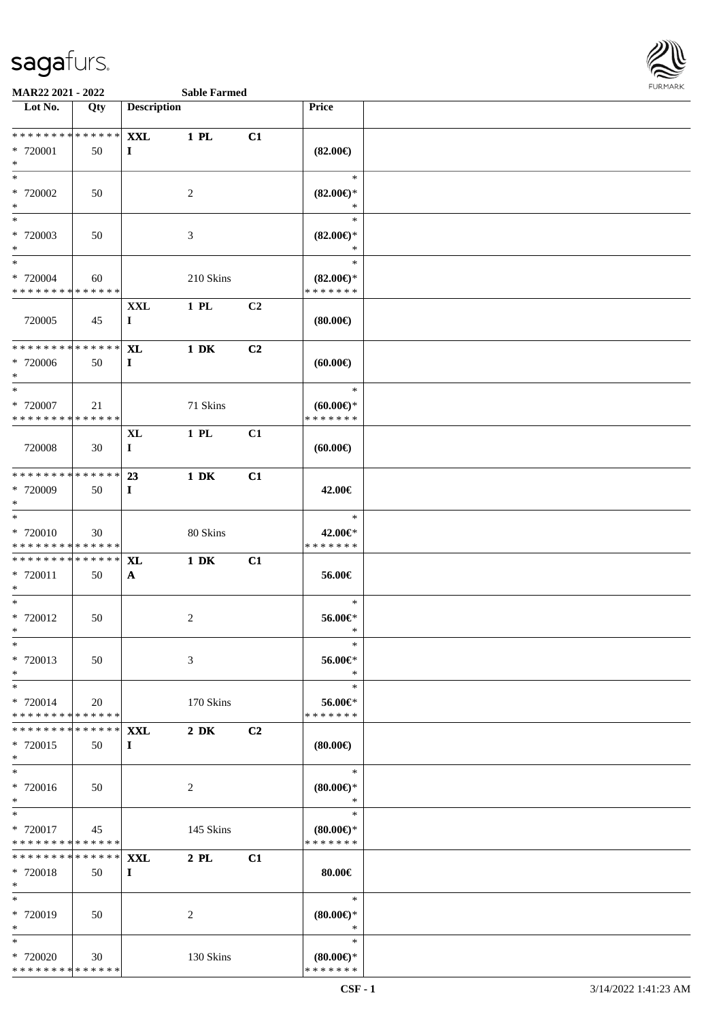

| Lot No.                                                        | Qty | <b>Description</b>     |                  |                | Price                                |  |
|----------------------------------------------------------------|-----|------------------------|------------------|----------------|--------------------------------------|--|
|                                                                |     |                        |                  |                |                                      |  |
| * * * * * * * * * * * * * * *                                  |     | <b>XXL</b>             | 1 PL             | C1             |                                      |  |
| * 720001<br>$*$                                                | 50  | $\bf{I}$               |                  |                | $(82.00\epsilon)$                    |  |
| $*$                                                            |     |                        |                  |                | $\ast$                               |  |
| * 720002                                                       | 50  |                        | $\overline{c}$   |                | $(82.00\epsilon)$ *                  |  |
| $*$                                                            |     |                        |                  |                | $\ast$                               |  |
| $*$                                                            |     |                        |                  |                | $\ast$                               |  |
| * 720003                                                       | 50  |                        | 3                |                | $(82.00\epsilon)$ *                  |  |
| $*$<br>$*$                                                     |     |                        |                  |                | $\ast$<br>$\ast$                     |  |
| * 720004                                                       | 60  |                        | 210 Skins        |                | $(82.00\epsilon)$ *                  |  |
| * * * * * * * * * * * * * *                                    |     |                        |                  |                | * * * * * * *                        |  |
|                                                                |     | XXL                    | 1 PL             | C <sub>2</sub> |                                      |  |
| 720005                                                         | 45  | $\bf{I}$               |                  |                | (80.00)                              |  |
|                                                                |     |                        |                  |                |                                      |  |
| * * * * * * * * * * * * * * *<br>* 720006                      | 50  | <b>XL</b><br>$\bf{I}$  | $1\ \mathrm{DK}$ | C2             | (60.00)                              |  |
| $*$                                                            |     |                        |                  |                |                                      |  |
| $*$                                                            |     |                        |                  |                | $\ast$                               |  |
| * 720007                                                       | 21  |                        | 71 Skins         |                | $(60.00ε)$ *                         |  |
| * * * * * * * * * * * * * *                                    |     |                        |                  |                | * * * * * * *                        |  |
|                                                                |     | XL                     | 1 PL             | C1             |                                      |  |
| 720008                                                         | 30  | $\bf{I}$               |                  |                | (60.00)                              |  |
| ******** <mark>******</mark>                                   |     | 23                     | $1\ \mathrm{DK}$ | C1             |                                      |  |
| * 720009                                                       | 50  | $\bf{I}$               |                  |                | 42.00€                               |  |
| $*$                                                            |     |                        |                  |                |                                      |  |
| $*$                                                            |     |                        |                  |                | $\ast$                               |  |
| * 720010<br>* * * * * * * * <mark>* * * * * * *</mark>         | 30  |                        | 80 Skins         |                | 42.00€*<br>* * * * * * *             |  |
| * * * * * * * * * * * * * * *                                  |     | XL                     | $1\ \mathrm{DK}$ | C1             |                                      |  |
| * 720011                                                       | 50  | $\mathbf{A}$           |                  |                | 56.00€                               |  |
| $*$                                                            |     |                        |                  |                |                                      |  |
| $*$                                                            |     |                        |                  |                | $\ast$                               |  |
| * 720012                                                       | 50  |                        | $\overline{c}$   |                | 56.00€*                              |  |
| $*$<br>$*$                                                     |     |                        |                  |                | $\ast$<br>∗                          |  |
| * 720013                                                       | 50  |                        | 3                |                | 56.00€*                              |  |
| $*$                                                            |     |                        |                  |                | $\ast$                               |  |
| $*$                                                            |     |                        |                  |                | $\ast$                               |  |
| * 720014                                                       | 20  |                        | 170 Skins        |                | 56.00€*                              |  |
| * * * * * * * * * * * * * * *<br>* * * * * * * * * * * * * * * |     |                        |                  |                | * * * * * * *                        |  |
| * 720015                                                       | 50  | <b>XXL</b><br>$\bf{I}$ | $2\ \mathrm{DK}$ | C2             | (80.00)                              |  |
| $*$                                                            |     |                        |                  |                |                                      |  |
| $*$                                                            |     |                        |                  |                | $\ast$                               |  |
| * 720016                                                       | 50  |                        | 2                |                | $(80.00\epsilon)$ *                  |  |
| $*$                                                            |     |                        |                  |                | $\ast$                               |  |
| $\ast$                                                         |     |                        |                  |                | $\ast$                               |  |
| * 720017<br>* * * * * * * * * * * * * * *                      | 45  |                        | 145 Skins        |                | $(80.00\epsilon)$ *<br>* * * * * * * |  |
| *************** XXL                                            |     |                        | $2$ PL           | C1             |                                      |  |
| * 720018                                                       | 50  | $\bf{I}$               |                  |                | 80.00 $\in$                          |  |
| $*$                                                            |     |                        |                  |                |                                      |  |
| $*$                                                            |     |                        |                  |                | $\ast$                               |  |
| * 720019<br>$*$                                                | 50  |                        | 2                |                | $(80.00\epsilon)$ *<br>$\ast$        |  |
| $\ast$                                                         |     |                        |                  |                | $\ast$                               |  |
| * 720020                                                       | 30  |                        | 130 Skins        |                | $(80.00\epsilon)$ *                  |  |
| * * * * * * * * * * * * * *                                    |     |                        |                  |                | * * * * * * *                        |  |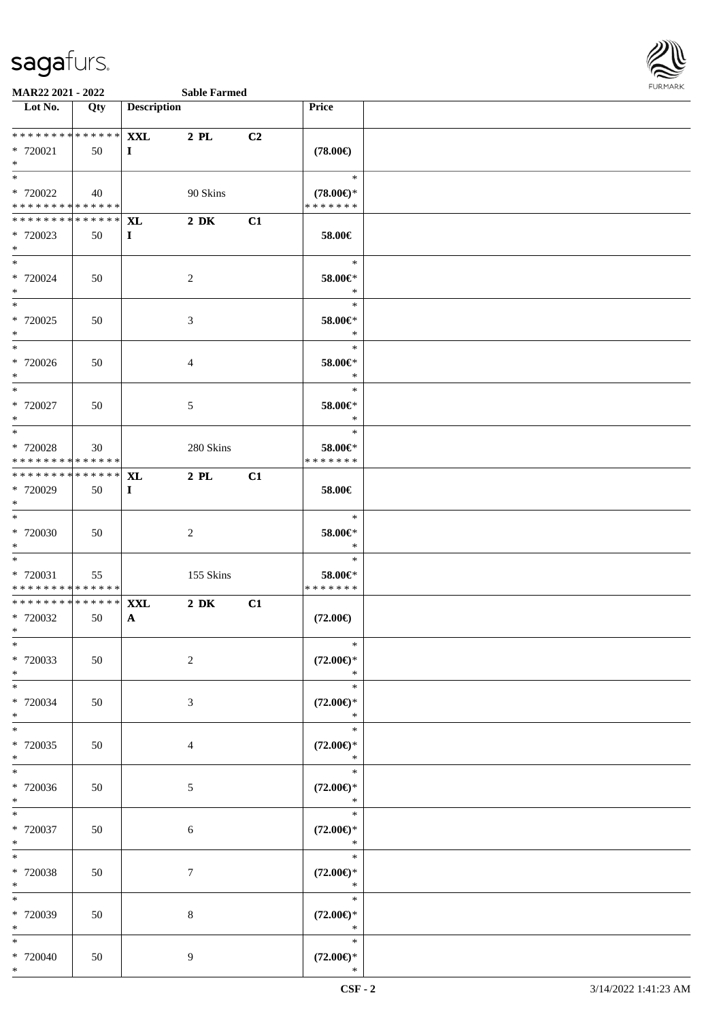

| Lot No.                      | Qty | <b>Description</b> |                |                | Price               |  |
|------------------------------|-----|--------------------|----------------|----------------|---------------------|--|
|                              |     |                    |                |                |                     |  |
| * * * * * * * * * * * * * *  |     | <b>XXL</b>         | 2 PL           | C <sub>2</sub> |                     |  |
| * 720021                     | 50  | $\bf{I}$           |                |                | $(78.00\epsilon)$   |  |
| $*$                          |     |                    |                |                |                     |  |
| $*$                          |     |                    |                |                | $\ast$              |  |
| * 720022                     | 40  |                    | 90 Skins       |                | $(78.00\epsilon)$ * |  |
| * * * * * * * * * * * * * *  |     |                    |                |                | * * * * * * *       |  |
| ******** <mark>******</mark> |     | <b>XL</b>          | $2\,$ DK       | C1             |                     |  |
| $*720023$                    | 50  | $\mathbf{I}$       |                |                | 58.00€              |  |
| $*$                          |     |                    |                |                |                     |  |
| $*$                          |     |                    |                |                | $\ast$              |  |
| * 720024                     | 50  |                    | $\sqrt{2}$     |                | 58.00€*             |  |
| $*$                          |     |                    |                |                | $\ast$              |  |
| $*$                          |     |                    |                |                | $\ast$              |  |
| $* 720025$                   | 50  |                    | $\mathfrak{Z}$ |                | 58.00€*             |  |
| $*$                          |     |                    |                |                | $\ast$              |  |
| $\overline{\phantom{0}}$     |     |                    |                |                | $\ast$              |  |
| $*720026$                    | 50  |                    | $\overline{4}$ |                | 58.00€*             |  |
| $*$                          |     |                    |                |                | $\ast$              |  |
| $*$                          |     |                    |                |                | $\ast$              |  |
|                              |     |                    |                |                |                     |  |
| $*720027$                    | 50  |                    | 5              |                | $58.00 \in$ *       |  |
| $*$                          |     |                    |                |                | $\ast$              |  |
| $*$                          |     |                    |                |                | $\ast$              |  |
| * 720028                     | 30  |                    | 280 Skins      |                | 58.00€*             |  |
| * * * * * * * * * * * * * *  |     |                    |                |                | * * * * * * *       |  |
| ******** <mark>******</mark> |     | <b>XL</b>          | $2$ PL         | C1             |                     |  |
| * 720029                     | 50  | $\mathbf{I}$       |                |                | 58.00€              |  |
| $*$                          |     |                    |                |                |                     |  |
| $*$                          |     |                    |                |                | $\ast$              |  |
| * 720030                     | 50  |                    | $\overline{2}$ |                | $58.00 \in$ *       |  |
| $*$                          |     |                    |                |                | $\ast$              |  |
| $*$                          |     |                    |                |                | $\ast$              |  |
| $* 720031$                   | 55  |                    | 155 Skins      |                | 58.00€*             |  |
| * * * * * * * * * * * * * *  |     |                    |                |                | * * * * * * *       |  |
| * * * * * * * * * * * * * *  |     | <b>XXL</b>         | $2\,$ DK       | C1             |                     |  |
| * 720032                     | 50  | $\mathbf{A}$       |                |                | $(72.00\epsilon)$   |  |
| $*$                          |     |                    |                |                |                     |  |
| $*$                          |     |                    |                |                | $\ast$              |  |
| * 720033                     | 50  |                    | $\overline{c}$ |                | $(72.00\epsilon)$ * |  |
| $*$                          |     |                    |                |                | $\ast$              |  |
| $*$                          |     |                    |                |                | $\ast$              |  |
| * 720034                     | 50  |                    | $\mathfrak{Z}$ |                | $(72.00\epsilon)$ * |  |
| $*$                          |     |                    |                |                | $\ast$              |  |
| $\overline{\ast}$            |     |                    |                |                | $\ast$              |  |
|                              |     |                    |                |                |                     |  |
| $*720035$                    | 50  |                    | $\overline{4}$ |                | $(72.00\epsilon)$ * |  |
| $*$<br>$\overline{\ast}$     |     |                    |                |                | $\ast$<br>$\ast$    |  |
|                              |     |                    |                |                |                     |  |
| * 720036                     | 50  |                    | $\sqrt{5}$     |                | $(72.00\epsilon)$ * |  |
| $*$                          |     |                    |                |                | $\ast$              |  |
| $*$                          |     |                    |                |                | $\ast$              |  |
| $*$ 720037                   | 50  |                    | $6\,$          |                | $(72.00\epsilon)$ * |  |
| $*$                          |     |                    |                |                | $\ast$              |  |
| $*$                          |     |                    |                |                | $\ast$              |  |
| * 720038                     | 50  |                    | $\overline{7}$ |                | $(72.00\epsilon)$ * |  |
| $*$                          |     |                    |                |                | $\ast$              |  |
| $\ast$                       |     |                    |                |                | $\ast$              |  |
| * 720039                     | 50  |                    | $\,8\,$        |                | $(72.00\epsilon)$ * |  |
| $\ast$                       |     |                    |                |                | $\ast$              |  |
| $*$                          |     |                    |                |                | $\ast$              |  |
| $* 720040$                   | 50  |                    | $\overline{9}$ |                | $(72.00\in)^\ast$   |  |
| $*$                          |     |                    |                |                | $\ast$              |  |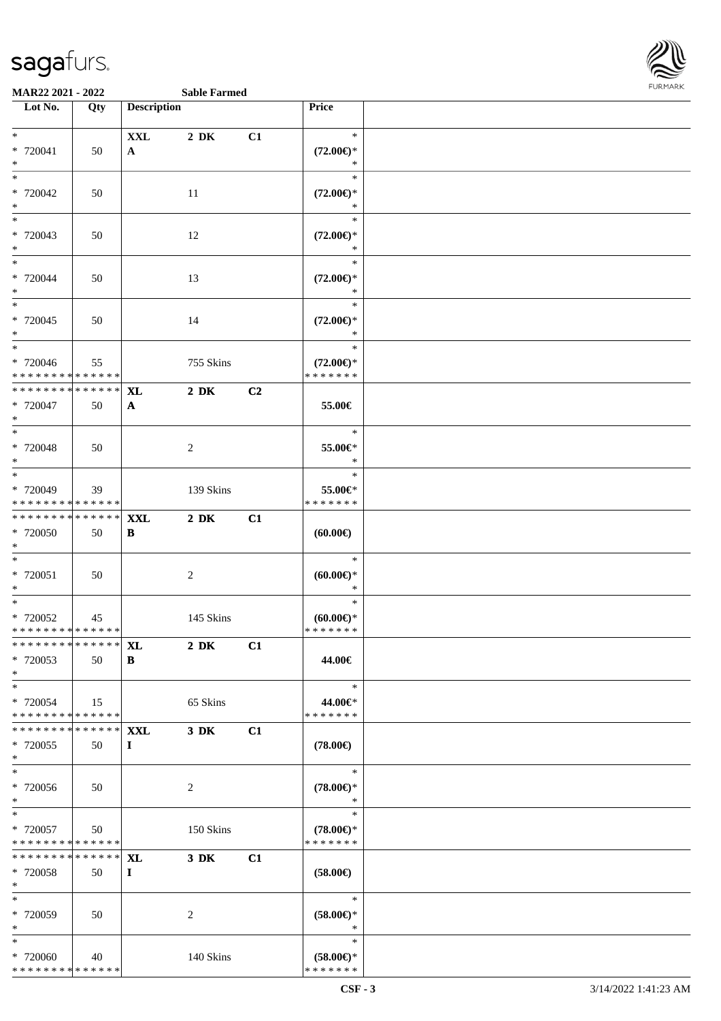

**MAR22 2021 - 2022 Sable Farmed**

| Lot No.                                 | Qty             | <b>Description</b> |                  |    | Price                                |  |
|-----------------------------------------|-----------------|--------------------|------------------|----|--------------------------------------|--|
|                                         |                 |                    |                  |    |                                      |  |
| $*$                                     |                 | $\mathbf{XXL}$     | $2\,$ DK         | C1 | $\ast$                               |  |
| * 720041                                |                 |                    |                  |    | $(72.00\epsilon)$ *                  |  |
| $\ast$                                  | 50              | $\mathbf{A}$       |                  |    | $\ast$                               |  |
| $\overline{\ast}$                       |                 |                    |                  |    | $\ast$                               |  |
|                                         |                 |                    |                  |    |                                      |  |
| $* 720042$                              | 50              |                    | 11               |    | $(72.00\epsilon)$ *                  |  |
| $*$                                     |                 |                    |                  |    | $\ast$                               |  |
| $\ast$                                  |                 |                    |                  |    | $\ast$                               |  |
| * 720043                                | 50              |                    | 12               |    | $(72.00\epsilon)$ *                  |  |
| $*$                                     |                 |                    |                  |    | $\ast$                               |  |
| $*$                                     |                 |                    |                  |    | $\ast$                               |  |
| * 720044                                | 50              |                    | 13               |    | $(72.00\epsilon)$ *                  |  |
| $*$                                     |                 |                    |                  |    | $\ast$                               |  |
|                                         |                 |                    |                  |    | $\ast$                               |  |
| * 720045                                | 50              |                    | 14               |    | $(72.00\epsilon)$ *                  |  |
| $*$                                     |                 |                    |                  |    | $\ast$                               |  |
| $\overline{\phantom{0}}$                |                 |                    |                  |    | $\ast$                               |  |
| * 720046                                | 55              |                    | 755 Skins        |    | $(72.00\epsilon)$ *                  |  |
| * * * * * * * * * * * * * *             |                 |                    |                  |    | * * * * * * *                        |  |
| * * * * * * * * * * * * * * *           |                 | <b>XL</b>          | $2\ \mathrm{DK}$ | C2 |                                      |  |
| * 720047                                | 50              | A                  |                  |    | 55.00€                               |  |
| $*$                                     |                 |                    |                  |    |                                      |  |
|                                         |                 |                    |                  |    | $\ast$                               |  |
| * 720048                                |                 |                    |                  |    | 55.00€*                              |  |
| $*$                                     | 50              |                    | 2                |    | $\ast$                               |  |
| $\overline{\ast}$                       |                 |                    |                  |    | $\ast$                               |  |
|                                         |                 |                    |                  |    |                                      |  |
| * 720049<br>* * * * * * * * * * * * * * | 39              |                    | 139 Skins        |    | 55.00€*<br>* * * * * * *             |  |
| ******** <mark>******</mark>            |                 |                    |                  |    |                                      |  |
|                                         |                 | <b>XXL</b>         | $2\,$ DK         | C1 |                                      |  |
| * 720050                                | 50              | B                  |                  |    | (60.00)                              |  |
| $*$                                     |                 |                    |                  |    |                                      |  |
| $*$                                     |                 |                    |                  |    | $\ast$                               |  |
| * 720051                                | 50              |                    | $\overline{c}$   |    | $(60.00ε)$ *                         |  |
| $*$                                     |                 |                    |                  |    | $\ast$                               |  |
| $*$                                     |                 |                    |                  |    | $\ast$                               |  |
| * 720052                                | 45              |                    | 145 Skins        |    | $(60.00ε)$ *                         |  |
| * * * * * * * * * * * * * *             |                 |                    |                  |    | * * * * * * *                        |  |
| * * * * * * * * * * * * * *             |                 | XL                 | $2\,$ DK         | C1 |                                      |  |
| * 720053                                | 50              | B                  |                  |    | 44.00€                               |  |
| $*$                                     |                 |                    |                  |    |                                      |  |
| $*$                                     |                 |                    |                  |    | $\ast$                               |  |
| * 720054                                | 15              |                    | 65 Skins         |    | 44.00€*                              |  |
| * * * * * * * * * * * * * *             |                 |                    |                  |    | * * * * * * *                        |  |
| * * * * * * * * * * * * * * *           |                 | <b>XXL</b>         | $3\,$ DK         | C1 |                                      |  |
| * 720055                                | 50              | $\bf{I}$           |                  |    | $(78.00\in)$                         |  |
| $*$                                     |                 |                    |                  |    |                                      |  |
| $\ast$                                  |                 |                    |                  |    | $\ast$                               |  |
| $* 720056$                              | 50              |                    | 2                |    | $(78.00\epsilon)$ *                  |  |
| $*$                                     |                 |                    |                  |    | $\ast$                               |  |
| $\ast$                                  |                 |                    |                  |    | $\ast$                               |  |
| * 720057                                | 50              |                    | 150 Skins        |    | $(78.00\epsilon)$ *                  |  |
| * * * * * * * * * * * * * *             |                 |                    |                  |    | * * * * * * *                        |  |
| * * * * * * * *                         | $* * * * * * *$ | <b>XL</b>          | $3\ \mathrm{DK}$ | C1 |                                      |  |
| * 720058                                | 50              | $\bf{I}$           |                  |    | $(58.00\epsilon)$                    |  |
| $*$                                     |                 |                    |                  |    |                                      |  |
| $*$                                     |                 |                    |                  |    | $\ast$                               |  |
| * 720059                                | 50              |                    |                  |    |                                      |  |
| $*$                                     |                 |                    | 2                |    | $(58.00ε)$ *<br>$\ast$               |  |
| $*$                                     |                 |                    |                  |    | $\ast$                               |  |
|                                         |                 |                    |                  |    |                                      |  |
| * 720060<br>* * * * * * * * * * * * * * | 40              |                    | 140 Skins        |    | $(58.00\epsilon)$ *<br>* * * * * * * |  |
|                                         |                 |                    |                  |    |                                      |  |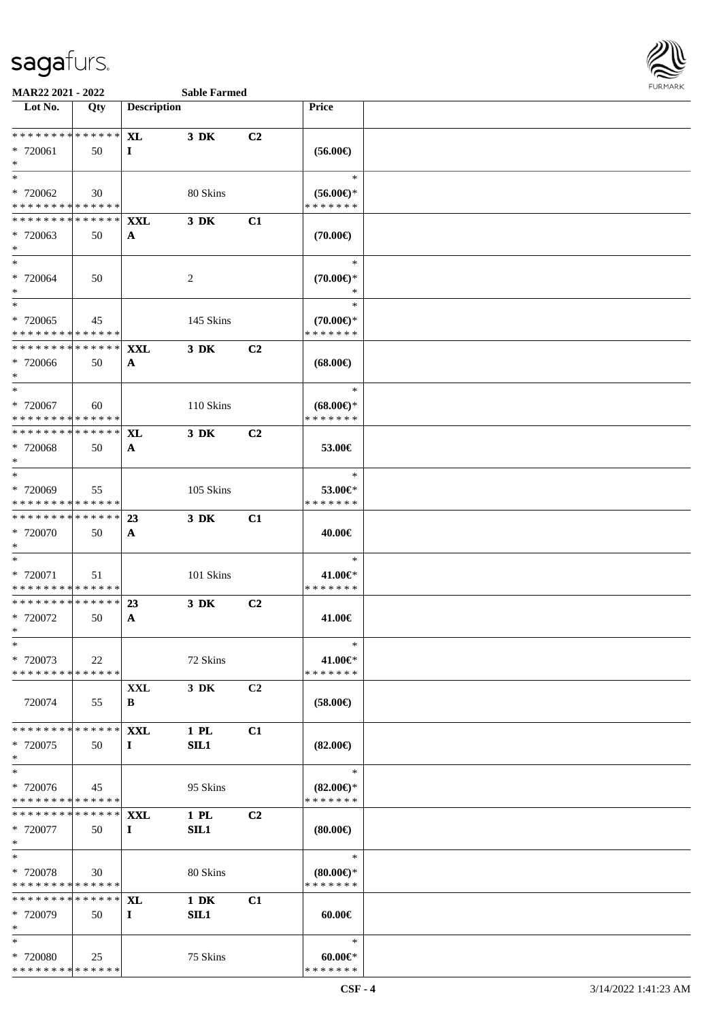

#### **MAR22 2021 - 2022 Sable Farmed**

| Lot No.                                    | Qty | <b>Description</b> |                  |                | <b>Price</b>        |  |
|--------------------------------------------|-----|--------------------|------------------|----------------|---------------------|--|
|                                            |     |                    |                  |                |                     |  |
| * * * * * * * * <mark>* * * * * *</mark>   |     | <b>XL</b>          | 3 DK             |                |                     |  |
|                                            |     |                    |                  | C2             |                     |  |
| * 720061                                   | 50  | $\bf{I}$           |                  |                | $(56.00\epsilon)$   |  |
| $*$                                        |     |                    |                  |                |                     |  |
| $*$                                        |     |                    |                  |                | $\ast$              |  |
| * 720062                                   | 30  |                    | 80 Skins         |                | $(56.00ε)$ *        |  |
| * * * * * * * * * * * * * *                |     |                    |                  |                | * * * * * * *       |  |
| * * * * * * * * * * * * * * *              |     | <b>XXL</b>         | 3 DK             | C1             |                     |  |
| * 720063                                   | 50  | A                  |                  |                | $(70.00\in)$        |  |
| $*$                                        |     |                    |                  |                |                     |  |
| $*$                                        |     |                    |                  |                | $\ast$              |  |
| * 720064                                   | 50  |                    | 2                |                | $(70.00\epsilon)$ * |  |
| $\ast$                                     |     |                    |                  |                | $\ast$              |  |
| $*$                                        |     |                    |                  |                | $\ast$              |  |
|                                            |     |                    |                  |                |                     |  |
| * 720065                                   | 45  |                    | 145 Skins        |                | $(70.00\epsilon)$ * |  |
| * * * * * * * * * * * * * *                |     |                    |                  |                | * * * * * * *       |  |
| * * * * * * * * * * * * * * *              |     | <b>XXL</b>         | 3 DK             | C <sub>2</sub> |                     |  |
| * 720066                                   | 50  | $\mathbf{A}$       |                  |                | $(68.00\epsilon)$   |  |
| $*$                                        |     |                    |                  |                |                     |  |
|                                            |     |                    |                  |                | $\ast$              |  |
| * 720067                                   | 60  |                    | 110 Skins        |                | $(68.00\epsilon)$ * |  |
| * * * * * * * * * * * * * *                |     |                    |                  |                | * * * * * * *       |  |
| * * * * * * * * <mark>* * * * * * *</mark> |     | XL                 | 3 DK             | C <sub>2</sub> |                     |  |
| * 720068                                   | 50  |                    |                  |                | 53.00€              |  |
| $*$                                        |     | $\mathbf{A}$       |                  |                |                     |  |
| $\ddot{x}$                                 |     |                    |                  |                | $\ast$              |  |
|                                            |     |                    |                  |                |                     |  |
| * 720069                                   | 55  |                    | 105 Skins        |                | 53.00€*             |  |
| * * * * * * * * * * * * * *                |     |                    |                  |                | * * * * * * *       |  |
| * * * * * * * * <mark>* * * * * * *</mark> |     | 23                 | 3 DK             | C1             |                     |  |
| * 720070                                   | 50  | $\mathbf{A}$       |                  |                | 40.00€              |  |
| $\ast$                                     |     |                    |                  |                |                     |  |
| $*$                                        |     |                    |                  |                | $\ast$              |  |
| * 720071                                   | 51  |                    | 101 Skins        |                | 41.00€*             |  |
| * * * * * * * * <mark>* * * * * * *</mark> |     |                    |                  |                | * * * * * * *       |  |
| * * * * * * * * * * * * * * *              |     | 23                 | 3 DK             | C2             |                     |  |
| * 720072                                   | 50  | $\mathbf{A}$       |                  |                | 41.00€              |  |
| $*$                                        |     |                    |                  |                |                     |  |
| $\ast$                                     |     |                    |                  |                | $\ast$              |  |
|                                            |     |                    |                  |                |                     |  |
| * 720073                                   | 22  |                    | 72 Skins         |                | 41.00€*             |  |
| * * * * * * * * * * * * * *                |     |                    |                  |                | * * * * * * *       |  |
|                                            |     | XXL                | 3 DK             | C2             |                     |  |
| 720074                                     | 55  | B                  |                  |                | $(58.00\epsilon)$   |  |
|                                            |     |                    |                  |                |                     |  |
| * * * * * * * * * * * * * *                |     | <b>XXL</b>         | 1 PL             | C1             |                     |  |
| * 720075                                   | 50  | $\bf{I}$           | SIL1             |                | $(82.00\epsilon)$   |  |
| $\ast$                                     |     |                    |                  |                |                     |  |
| $\ast$                                     |     |                    |                  |                | $\ast$              |  |
| * 720076                                   | 45  |                    | 95 Skins         |                | $(82.00\epsilon)$ * |  |
| * * * * * * * * <mark>* * * * * * *</mark> |     |                    |                  |                | * * * * * * *       |  |
| * * * * * * * * <mark>* * * * * *</mark> * |     | <b>XXL</b>         | $1$ PL           | C <sub>2</sub> |                     |  |
| * 720077                                   | 50  |                    | SL1              |                | $(80.00\epsilon)$   |  |
| $\ast$                                     |     | $\bf{I}$           |                  |                |                     |  |
| $*$                                        |     |                    |                  |                | $\ast$              |  |
|                                            |     |                    |                  |                |                     |  |
| * 720078                                   | 30  |                    | 80 Skins         |                | $(80.00\epsilon)$ * |  |
| * * * * * * * * * * * * * *                |     |                    |                  |                | * * * * * * *       |  |
| * * * * * * * * * * * * * * *              |     | <b>XL</b>          | $1\ \mathrm{DK}$ | C1             |                     |  |
| * 720079                                   | 50  | $\bf{I}$           | SIL1             |                | $60.00 \in$         |  |
| $\ast$                                     |     |                    |                  |                |                     |  |
| $*$                                        |     |                    |                  |                | $\ast$              |  |
| * 720080                                   | 25  |                    | 75 Skins         |                | $60.00 \in$         |  |
| * * * * * * * * <mark>* * * * * * *</mark> |     |                    |                  |                | * * * * * * *       |  |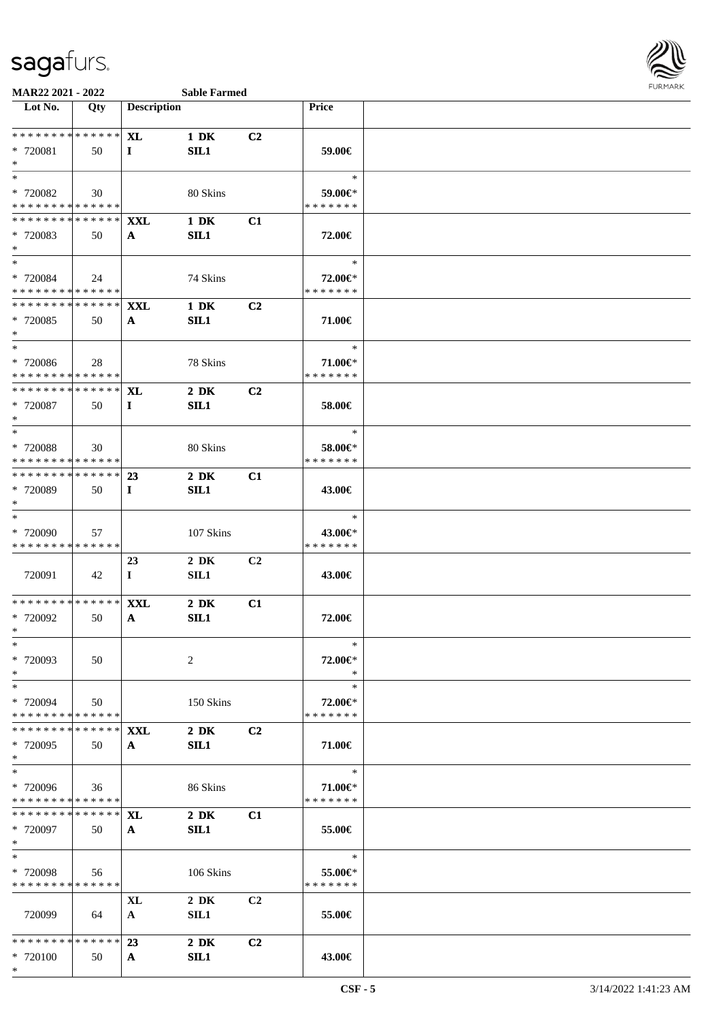

| Lot No.                                                        | Qty         | <b>Description</b> |                          |                | Price         |  |
|----------------------------------------------------------------|-------------|--------------------|--------------------------|----------------|---------------|--|
|                                                                |             |                    |                          |                |               |  |
| * * * * * * * * * * * * * * *                                  |             | <b>XL</b>          | 1 DK                     | C <sub>2</sub> |               |  |
| * 720081                                                       | 50          | $\bf{I}$           | SL1                      |                | 59.00€        |  |
| $*$<br>$\ast$                                                  |             |                    |                          |                | $\ast$        |  |
| * 720082                                                       | 30          |                    | 80 Skins                 |                | 59.00€*       |  |
| * * * * * * * * * * * * * *                                    |             |                    |                          |                | * * * * * * * |  |
| * * * * * * * * * * * * * * *                                  |             | <b>XXL</b>         | $1\ \mathrm{DK}$         | C1             |               |  |
| * 720083                                                       | 50          | A                  | SIL1                     |                | 72.00€        |  |
| $*$                                                            |             |                    |                          |                |               |  |
| $*$                                                            |             |                    |                          |                | $\ast$        |  |
| * 720084                                                       | 24          |                    | 74 Skins                 |                | 72.00€*       |  |
| ******** <mark>******</mark>                                   |             |                    |                          |                | * * * * * * * |  |
| * * * * * * * * * * * * * * *                                  |             | <b>XXL</b>         | $1\ \mathrm{DK}$         | C <sub>2</sub> |               |  |
| * 720085<br>$*$                                                | 50          | $\mathbf{A}$       | SIL1                     |                | 71.00€        |  |
| $*$                                                            |             |                    |                          |                | $\ast$        |  |
| * 720086                                                       | 28          |                    | 78 Skins                 |                | 71.00€*       |  |
| * * * * * * * * * * * * * *                                    |             |                    |                          |                | * * * * * * * |  |
| * * * * * * * * * * * * * * *                                  |             | <b>XL</b>          | $2\ \mathrm{DK}$         | C <sub>2</sub> |               |  |
| * 720087                                                       | 50          | $\mathbf{I}$       | SL1                      |                | 58.00€        |  |
| $*$                                                            |             |                    |                          |                |               |  |
| $*$                                                            |             |                    |                          |                | $\ast$        |  |
| * 720088                                                       | 30          |                    | 80 Skins                 |                | 58.00€*       |  |
| * * * * * * * * * * * * * * *<br>* * * * * * * * * * * * * * * |             |                    |                          |                | * * * * * * * |  |
| * 720089                                                       | 50          | 23<br>$\bf{I}$     | $2\ \mathrm{DK}$<br>SIL1 | C1             | 43.00€        |  |
| $*$                                                            |             |                    |                          |                |               |  |
| $\ast$                                                         |             |                    |                          |                | $\ast$        |  |
| * 720090                                                       | 57          |                    | 107 Skins                |                | 43.00€*       |  |
| * * * * * * * * * * * * * *                                    |             |                    |                          |                | * * * * * * * |  |
|                                                                |             | 23                 | $2\,$ DK                 | C <sub>2</sub> |               |  |
| 720091                                                         | 42          | $\mathbf{I}$       | SL1                      |                | 43.00€        |  |
|                                                                |             |                    |                          |                |               |  |
| * * * * * * * * * * * * * * *<br>* 720092                      |             | <b>XXL</b>         | $2\,$ DK                 | C1             |               |  |
| $*$                                                            | 50          | $\mathbf{A}$       | SIL1                     |                | 72.00€        |  |
| $*$                                                            |             |                    |                          |                | ∗             |  |
| * 720093                                                       | 50          |                    | 2                        |                | 72.00€*       |  |
| $*$                                                            |             |                    |                          |                |               |  |
| $\ast$                                                         |             |                    |                          |                | $\ast$        |  |
| * 720094                                                       | 50          |                    | 150 Skins                |                | 72.00€*       |  |
| * * * * * * * * * * * * * *                                    |             |                    |                          |                | * * * * * * * |  |
| **************                                                 |             | <b>XXL</b>         | $2\,$ DK                 | C2             |               |  |
| $*720095$<br>$*$                                               | 50          | $\mathbf{A}$       | SIL1                     |                | 71.00€        |  |
| $\ast$                                                         |             |                    |                          |                | $\ast$        |  |
| * 720096                                                       | 36          |                    | 86 Skins                 |                | 71.00€*       |  |
| * * * * * * * * * * * * * * *                                  |             |                    |                          |                | * * * * * * * |  |
| * * * * * * * *                                                | * * * * * * | XL                 | $2\,$ DK                 | C1             |               |  |
| * 720097                                                       | 50          | $\mathbf{A}$       | SL1                      |                | 55.00€        |  |
| $*$                                                            |             |                    |                          |                |               |  |
| $*$                                                            |             |                    |                          |                | $\ast$        |  |
| * 720098                                                       | 56          |                    | 106 Skins                |                | 55.00€*       |  |
| * * * * * * * * * * * * * *                                    |             |                    |                          |                | * * * * * * * |  |
| 720099                                                         |             | XL                 | $2\,$ DK<br>SL1          | C2             | 55.00€        |  |
|                                                                | 64          | $\mathbf{A}$       |                          |                |               |  |
| * * * * * * * * * * * * * * *                                  |             | 23                 | $2\,$ DK                 | C2             |               |  |
| * 720100                                                       | 50          | $\mathbf{A}$       | SL1                      |                | 43.00€        |  |
| $*$                                                            |             |                    |                          |                |               |  |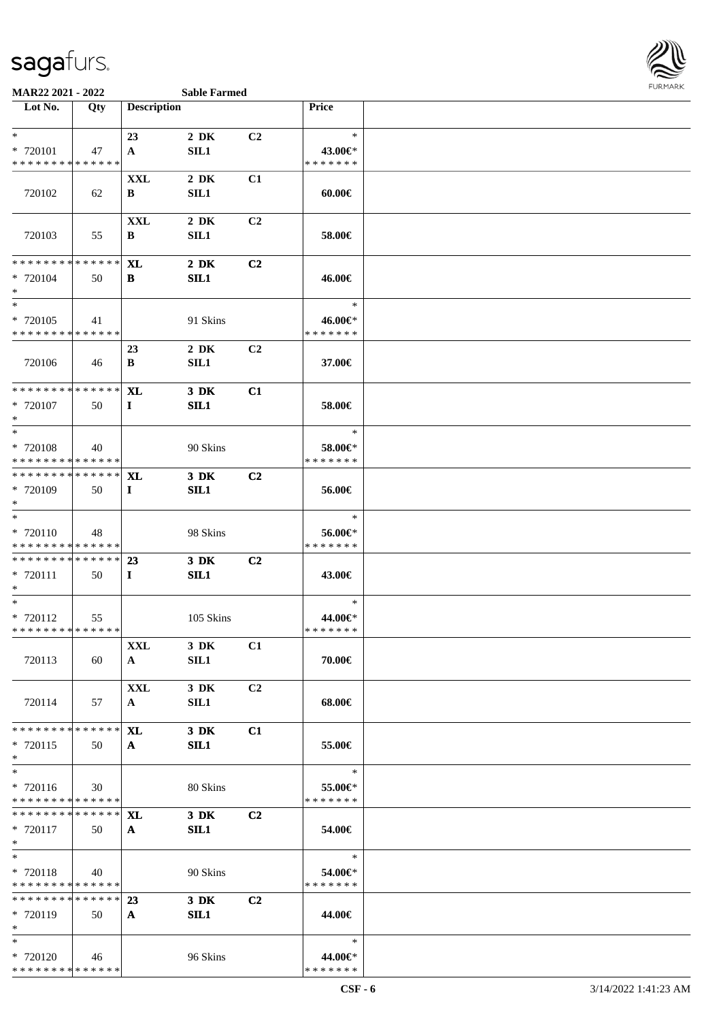

#### **MAR22 2021 - 2022 Sable Farmed**

| Lot No.                                 | Qty | <b>Description</b> |             |                | <b>Price</b>             |  |
|-----------------------------------------|-----|--------------------|-------------|----------------|--------------------------|--|
|                                         |     |                    |             |                |                          |  |
| $*$                                     |     | 23                 | $2\,$ DK    | C2             | $\ast$                   |  |
| * 720101                                | 47  | $\mathbf{A}$       | SIL1        |                | 43.00€*                  |  |
| * * * * * * * * * * * * * *             |     |                    |             |                | * * * * * * *            |  |
|                                         |     | XXL                | $2\,$ DK    | C1             |                          |  |
| 720102                                  | 62  | В                  | SL1         |                | $60.00 \in$              |  |
|                                         |     |                    |             |                |                          |  |
|                                         |     | <b>XXL</b>         | $2\,$ DK    | C2             |                          |  |
| 720103                                  | 55  | B                  | SIL1        |                | 58.00€                   |  |
|                                         |     |                    |             |                |                          |  |
| * * * * * * * * * * * * * * *           |     | <b>XL</b>          | $2\,$ DK    | C2             |                          |  |
| * 720104                                | 50  | B                  | SIL1        |                | 46.00€                   |  |
| $*$                                     |     |                    |             |                |                          |  |
| $*$                                     |     |                    |             |                | $\ast$                   |  |
| * 720105                                | 41  |                    | 91 Skins    |                | 46.00€*                  |  |
| * * * * * * * * * * * * * *             |     |                    |             |                | * * * * * * *            |  |
|                                         |     | 23                 | $2\,$ DK    | C <sub>2</sub> |                          |  |
| 720106                                  | 46  | B                  | SIL1        |                | 37.00€                   |  |
|                                         |     |                    |             |                |                          |  |
| * * * * * * * * * * * * * * *           |     | <b>XL</b>          | 3 DK        | C1             |                          |  |
| * 720107                                | 50  | $\bf{I}$           | SL1         |                | 58.00€                   |  |
| $*$<br>$*$                              |     |                    |             |                | $\ast$                   |  |
|                                         |     |                    |             |                |                          |  |
| * 720108<br>* * * * * * * * * * * * * * | 40  |                    | 90 Skins    |                | 58.00€*<br>* * * * * * * |  |
| ******** <mark>******</mark>            |     | <b>XL</b>          | 3 DK        | C <sub>2</sub> |                          |  |
| * 720109                                | 50  | $\bf{I}$           | SIL1        |                | 56.00€                   |  |
| $*$                                     |     |                    |             |                |                          |  |
| $*$                                     |     |                    |             |                | $\ast$                   |  |
| * 720110                                | 48  |                    | 98 Skins    |                | 56.00€*                  |  |
| * * * * * * * * * * * * * *             |     |                    |             |                | * * * * * * *            |  |
| * * * * * * * * * * * * * * *           |     | 23                 | 3 DK        | C2             |                          |  |
| * 720111                                | 50  | $\bf{I}$           | SIL1        |                | 43.00€                   |  |
| $\ast$                                  |     |                    |             |                |                          |  |
| $*$                                     |     |                    |             |                | $\ast$                   |  |
| * 720112                                | 55  |                    | 105 Skins   |                | 44.00€*                  |  |
| * * * * * * * * * * * * * *             |     |                    |             |                | * * * * * * *            |  |
|                                         |     | XXL                | 3 DK        | C1             |                          |  |
| 720113                                  | 60  | $\mathbf{A}$       | <b>SIL1</b> |                | 70.00€                   |  |
|                                         |     | <b>XXL</b>         | 3 DK        | C <sub>2</sub> |                          |  |
| 720114                                  | 57  | $\mathbf{A}$       | <b>SIL1</b> |                | 68.00€                   |  |
|                                         |     |                    |             |                |                          |  |
| * * * * * * * * * * * * * *             |     | <b>XL</b>          | 3 DK        | C1             |                          |  |
| * 720115                                | 50  | $\mathbf{A}$       | SIL1        |                | 55.00€                   |  |
| $*$                                     |     |                    |             |                |                          |  |
| $*$                                     |     |                    |             |                | $\ast$                   |  |
| * 720116                                | 30  |                    | 80 Skins    |                | 55.00€*                  |  |
| * * * * * * * * * * * * * *             |     |                    |             |                | * * * * * * *            |  |
| * * * * * * * * * * * * * *             |     | <b>XL</b>          | 3 DK        | C <sub>2</sub> |                          |  |
| * 720117                                | 50  | $\mathbf{A}$       | SIL1        |                | 54.00€                   |  |
| $*$                                     |     |                    |             |                |                          |  |
| $*$                                     |     |                    |             |                | $\ast$                   |  |
| * 720118<br>* * * * * * * * * * * * * * | 40  |                    | 90 Skins    |                | 54.00€*<br>* * * * * * * |  |
| * * * * * * * * * * * * * * *           |     | 23                 | 3 DK        | C <sub>2</sub> |                          |  |
| * 720119                                | 50  | $\mathbf{A}$       | SIL1        |                | 44.00€                   |  |
| $*$                                     |     |                    |             |                |                          |  |
| $*$                                     |     |                    |             |                | $\ast$                   |  |
| * 720120                                | 46  |                    | 96 Skins    |                | 44.00€*                  |  |
| * * * * * * * * * * * * * *             |     |                    |             |                | * * * * * * *            |  |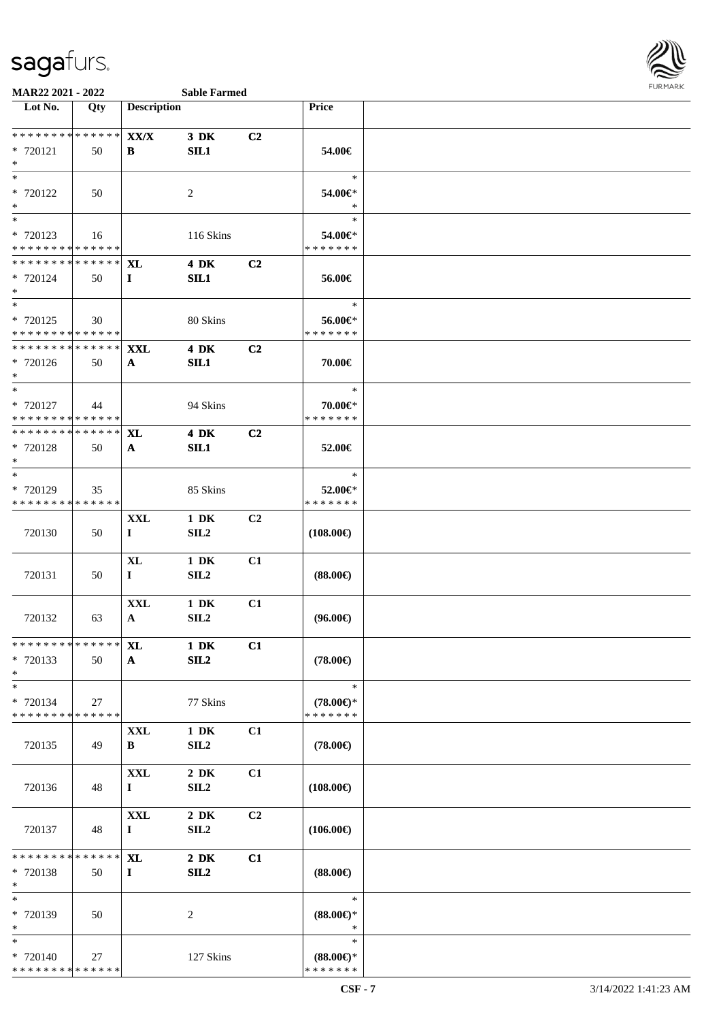

| Lot No.                                   | Qty | <b>Description</b>        |                         |                | Price                         |  |
|-------------------------------------------|-----|---------------------------|-------------------------|----------------|-------------------------------|--|
|                                           |     |                           |                         |                |                               |  |
| ******** <mark>******</mark>              |     | $\mathbf{XX}/\mathbf{X}$  | $3\,$ DK                | C2             |                               |  |
| * 720121<br>$*$                           | 50  | B                         | SL1                     |                | 54.00€                        |  |
| $\ast$                                    |     |                           |                         |                | $\ast$                        |  |
| * 720122                                  | 50  |                           | $\sqrt{2}$              |                | 54.00€*                       |  |
| $*$                                       |     |                           |                         |                | $\ast$                        |  |
| $\ast$                                    |     |                           |                         |                | $\ast$                        |  |
| * 720123<br>* * * * * * * * * * * * * *   | 16  |                           | 116 Skins               |                | 54.00€*<br>* * * * * * *      |  |
| * * * * * * * * * * * * * * *             |     | <b>XL</b>                 | <b>4 DK</b>             | C2             |                               |  |
| * 720124                                  | 50  | $\bf{I}$                  | SL1                     |                | 56.00€                        |  |
| $*$                                       |     |                           |                         |                |                               |  |
| $*$                                       |     |                           |                         |                | $\ast$                        |  |
| * 720125                                  | 30  |                           | 80 Skins                |                | 56.00€*                       |  |
| * * * * * * * * * * * * * *               |     |                           |                         |                | * * * * * * *                 |  |
| * * * * * * * * * * * * * * *<br>* 720126 | 50  | <b>XXL</b>                | <b>4 DK</b><br>SIL1     | C <sub>2</sub> | 70.00€                        |  |
| $*$                                       |     | $\mathbf{A}$              |                         |                |                               |  |
| $*$                                       |     |                           |                         |                | $\ast$                        |  |
| * 720127                                  | 44  |                           | 94 Skins                |                | 70.00€*                       |  |
| * * * * * * * * * * * * * *               |     |                           |                         |                | * * * * * * *                 |  |
| * * * * * * * * * * * * * * *             |     | <b>XL</b>                 | $4\ \mathrm{DK}$        | C2             |                               |  |
| * 720128<br>$*$                           | 50  | $\mathbf{A}$              | SL1                     |                | 52.00€                        |  |
| $\ast$                                    |     |                           |                         |                | $\ast$                        |  |
| * 720129                                  | 35  |                           | 85 Skins                |                | 52.00€*                       |  |
| * * * * * * * * * * * * * *               |     |                           |                         |                | * * * * * * *                 |  |
|                                           |     | <b>XXL</b>                | $1\ \mathrm{DK}$        | C2             |                               |  |
| 720130                                    | 50  | $\bf{I}$                  | SIL <sub>2</sub>        |                | $(108.00\epsilon)$            |  |
|                                           |     |                           | $1\,$ DK                | C1             |                               |  |
| 720131                                    | 50  | <b>XL</b><br>$\mathbf{I}$ | SL2                     |                | $(88.00\epsilon)$             |  |
|                                           |     |                           |                         |                |                               |  |
|                                           |     | <b>XXL</b>                | $1\ \mathrm{DK}$        | C1             |                               |  |
| 720132                                    | 63  | $\mathbf{A}$              | SL2                     |                | $(96.00\epsilon)$             |  |
| ******** <mark>******</mark> XL           |     |                           | $1\ \mathrm{DK}$        | C1             |                               |  |
| * 720133                                  | 50  | $\mathbf{A}$              | SL2                     |                | $(78.00\epsilon)$             |  |
| $*$                                       |     |                           |                         |                |                               |  |
| $\ast$                                    |     |                           |                         |                | $\ast$                        |  |
| * 720134                                  | 27  |                           | 77 Skins                |                | $(78.00\epsilon)$ *           |  |
| * * * * * * * * * * * * * *               |     |                           |                         |                | * * * * * * *                 |  |
| 720135                                    | 49  | <b>XXL</b><br>B           | $1\ \mathrm{DK}$<br>SL2 | C1             | $(78.00\epsilon)$             |  |
|                                           |     |                           |                         |                |                               |  |
|                                           |     | <b>XXL</b>                | $2\,$ DK                | C1             |                               |  |
| 720136                                    | 48  | $\bf{I}$                  | SL2                     |                | $(108.00\epsilon)$            |  |
|                                           |     |                           |                         |                |                               |  |
|                                           |     | <b>XXL</b>                | $2\,$ DK                | C2             |                               |  |
| 720137                                    | 48  | $\mathbf{I}$              | SL2                     |                | $(106.00\epsilon)$            |  |
| * * * * * * * * * * * * * * *             |     | XL                        | $2\,$ DK                | C1             |                               |  |
| * 720138                                  | 50  | $\mathbf{I}$              | SL2                     |                | $(88.00\epsilon)$             |  |
| $*$                                       |     |                           |                         |                |                               |  |
| $\ast$                                    |     |                           |                         |                | $\ast$                        |  |
| * 720139<br>$*$                           | 50  |                           | 2                       |                | $(88.00\epsilon)$ *<br>$\ast$ |  |
| $\ast$                                    |     |                           |                         |                | $\ast$                        |  |
| * 720140                                  | 27  |                           | 127 Skins               |                | $(88.00\epsilon)$ *           |  |
| * * * * * * * * * * * * * *               |     |                           |                         |                | * * * * * * *                 |  |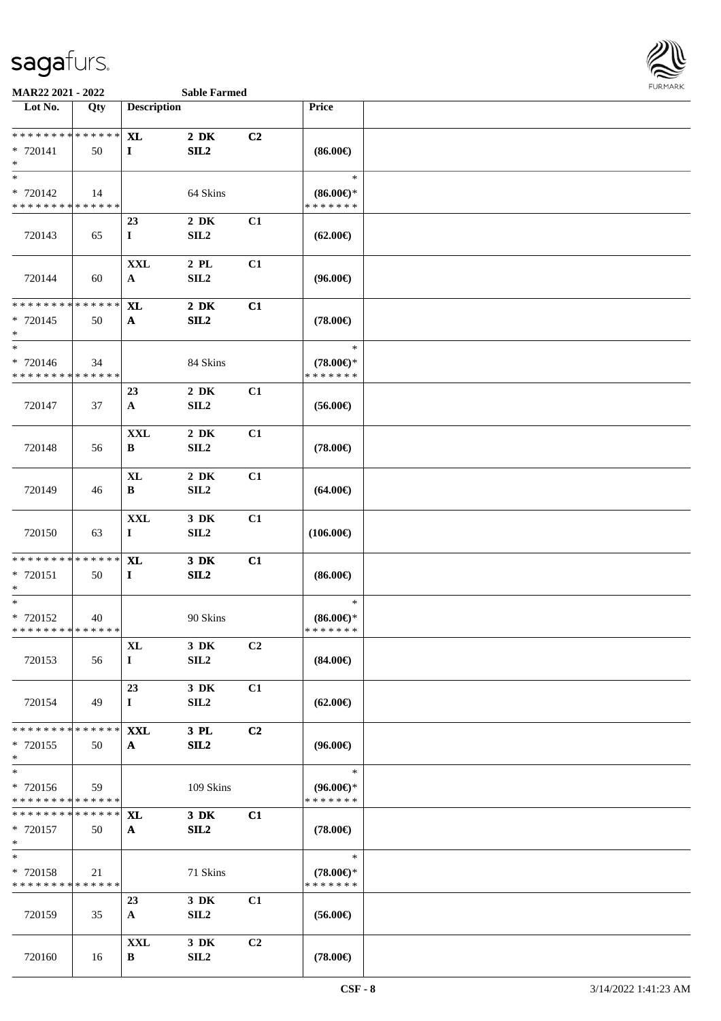

| Lot No.                                 | Qty    | <b>Description</b>        |                              |                | Price                                |  |
|-----------------------------------------|--------|---------------------------|------------------------------|----------------|--------------------------------------|--|
| * * * * * * * * * * * * * *             |        |                           |                              |                |                                      |  |
| * 720141<br>$*$                         | 50     | <b>XL</b><br>$\mathbf{I}$ | $2\,$ DK<br>SL2              | C2             | $(86.00\epsilon)$                    |  |
| $*$                                     |        |                           |                              |                | $\ast$                               |  |
| * 720142                                | 14     |                           | 64 Skins                     |                | $(86.00\epsilon)$ *<br>* * * * * * * |  |
| * * * * * * * * * * * * * *             |        | 23                        | $2\,$ DK                     | C1             |                                      |  |
| 720143                                  | 65     | $\bf{I}$                  | SLL2                         |                | $(62.00\epsilon)$                    |  |
|                                         |        | <b>XXL</b>                | $2$ PL                       | C1             |                                      |  |
| 720144                                  | 60     | $\mathbf{A}$              | SLL2                         |                | $(96.00\epsilon)$                    |  |
| * * * * * * * *                         | ****** | XL                        | $2\,$ DK                     | C1             |                                      |  |
| * 720145<br>$\ast$                      | 50     | $\mathbf{A}$              | SL2                          |                | $(78.00\epsilon)$                    |  |
| $\overline{\ast}$                       |        |                           |                              |                | $\ast$                               |  |
| * 720146<br>* * * * * * * * * * * * * * | 34     |                           | 84 Skins                     |                | $(78.00\epsilon)$ *<br>* * * * * * * |  |
|                                         |        | 23                        | $2\,$ DK                     | C1             |                                      |  |
| 720147                                  | 37     | $\mathbf{A}$              | SL2                          |                | $(56.00\epsilon)$                    |  |
|                                         |        | $\mathbf{XXL}$            | $2\,$ DK                     | C1             |                                      |  |
| 720148                                  | 56     | B                         | SL2                          |                | $(78.00\epsilon)$                    |  |
|                                         |        | $\bold{X}\bold{L}$        | $2\,$ DK                     | C1             |                                      |  |
| 720149                                  | 46     | B                         | SL2                          |                | $(64.00\epsilon)$                    |  |
|                                         |        | <b>XXL</b>                | 3 DK                         | C1             |                                      |  |
| 720150                                  | 63     | $\mathbf I$               | SL2                          |                | $(106.00\epsilon)$                   |  |
| ******** <mark>******</mark>            |        | <b>XL</b>                 | $3\,$ DK                     | C1             |                                      |  |
| * 720151<br>$*$                         | 50     | $\mathbf{I}$              | SL2                          |                | $(86.00\epsilon)$                    |  |
| $*$                                     |        |                           |                              |                | $\ast$                               |  |
| * 720152<br>* * * * * * * * * * * * * * | 40     |                           | 90 Skins                     |                | $(86.00\epsilon)$ *<br>* * * * * * * |  |
|                                         |        | $\mathbf{XL}$             | $3\,$ DK                     | C <sub>2</sub> |                                      |  |
| 720153                                  | 56     | $\mathbf{I}$              | SL2                          |                | $(84.00\epsilon)$                    |  |
|                                         |        | 23                        | 3 DK                         | C1             |                                      |  |
| 720154                                  | 49     | $\mathbf I$               | SL2                          |                | $(62.00\epsilon)$                    |  |
| * * * * * * * * * * * * * *             |        | <b>XXL</b>                | 3 PL                         | C2             |                                      |  |
| * 720155<br>$*$                         | 50     | $\mathbf{A}$              | SL2                          |                | $(96.00\epsilon)$                    |  |
| $\ast$                                  |        |                           |                              |                | $\ast$                               |  |
| * 720156<br>* * * * * * * * * * * * * * | 59     |                           | 109 Skins                    |                | $(96.00\epsilon)$ *<br>* * * * * * * |  |
| * * * * * * * * * * * * * *             |        | <b>XL</b>                 | $3\,$ DK                     | C1             |                                      |  |
| * 720157                                | 50     | $\mathbf{A}$              | SL2                          |                | $(78.00\epsilon)$                    |  |
| $\ast$<br>$*$                           |        |                           |                              |                | $\ast$                               |  |
| * 720158                                | 21     |                           | 71 Skins                     |                | $(78.00\epsilon)$ *                  |  |
| * * * * * * * * * * * * * *             |        |                           |                              |                | * * * * * * *                        |  |
|                                         |        | 23                        | 3 DK                         | C1             |                                      |  |
| 720159                                  | 35     | $\mathbf{A}$              | SL2                          |                | $(56.00\epsilon)$                    |  |
|                                         |        | <b>XXL</b>                | 3 DK                         | C2             |                                      |  |
| 720160                                  | 16     | B                         | $\ensuremath{\mathrm{SIL2}}$ |                | $(78.00\epsilon)$                    |  |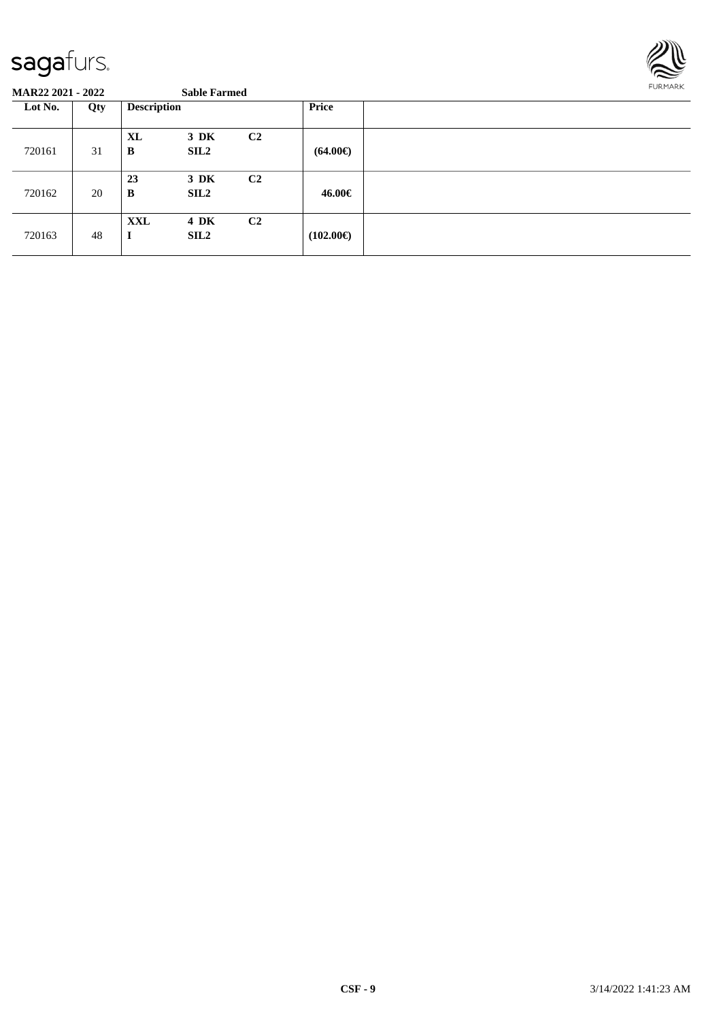

| Lot No. | Qty | <b>Description</b> |                                 |                | <b>Price</b>       |  |
|---------|-----|--------------------|---------------------------------|----------------|--------------------|--|
| 720161  | 31  | <b>XL</b><br>B     | $3\,$ DK<br>SIL <sub>2</sub>    | C <sub>2</sub> | $(64.00\epsilon)$  |  |
| 720162  | 20  | 23<br>B            | 3 DK<br>SIL <sub>2</sub>        | C <sub>2</sub> | 46.00€             |  |
| 720163  | 48  | XXL<br>I           | <b>4 DK</b><br>SIL <sub>2</sub> | C <sub>2</sub> | $(102.00\epsilon)$ |  |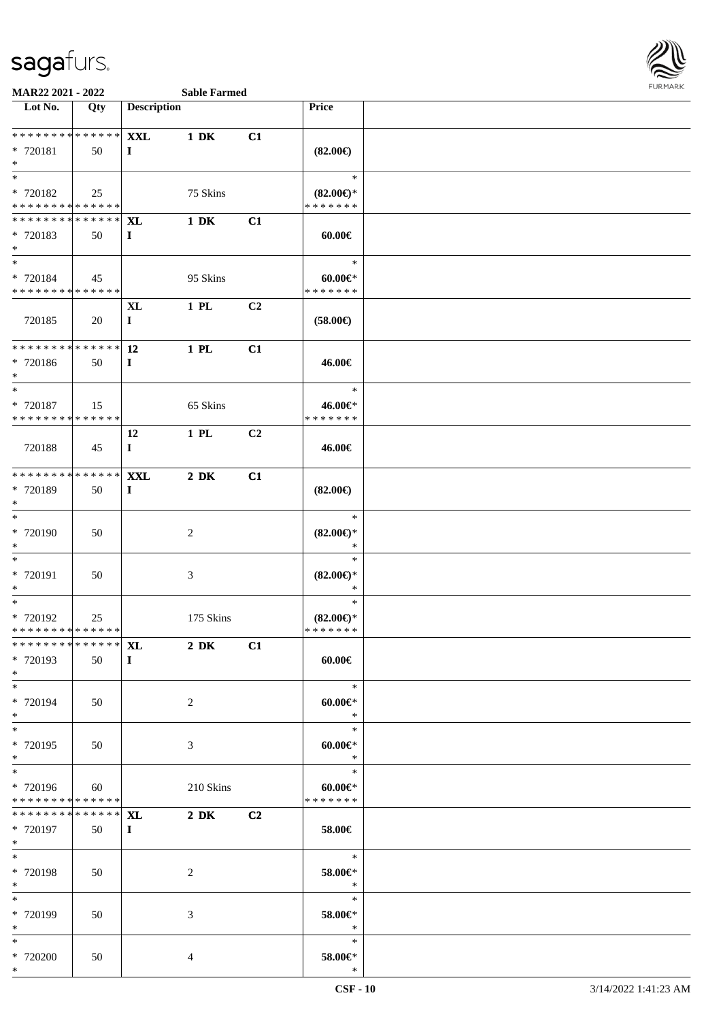

#### **MAR22 2021 - 2022 Sable Farmed**

|  | <b>Sable Farm</b> |
|--|-------------------|

| Lot No.                      | Qty | <b>Description</b> |                  |                | <b>Price</b>        |  |
|------------------------------|-----|--------------------|------------------|----------------|---------------------|--|
|                              |     |                    |                  |                |                     |  |
| **************               |     | <b>XXL</b>         | $1\ \mathrm{DK}$ | C1             |                     |  |
| * 720181                     | 50  | $\mathbf I$        |                  |                | $(82.00\epsilon)$   |  |
| $\ast$                       |     |                    |                  |                |                     |  |
| $\ast$                       |     |                    |                  |                | $\ast$              |  |
| * 720182                     | 25  |                    | 75 Skins         |                | $(82.00\epsilon)$ * |  |
| * * * * * * * * * * * * * *  |     |                    |                  |                | * * * * * * *       |  |
| ******** <mark>******</mark> |     | XL                 | $1\ \mathrm{DK}$ | C1             |                     |  |
| * 720183                     | 50  | $\bf{I}$           |                  |                | $60.00 \in$         |  |
| $*$                          |     |                    |                  |                |                     |  |
| $\ast$                       |     |                    |                  |                | $\ast$              |  |
| * 720184                     | 45  |                    | 95 Skins         |                | $60.00 \in$         |  |
| ******** <mark>******</mark> |     |                    |                  |                | * * * * * * *       |  |
|                              |     | $\bold{X}\bold{L}$ | 1 PL             | C <sub>2</sub> |                     |  |
| 720185                       | 20  | $\bf{I}$           |                  |                | $(58.00\epsilon)$   |  |
|                              |     |                    |                  |                |                     |  |
| ******** <mark>******</mark> |     | 12                 | $1$ PL           | C1             |                     |  |
| * 720186                     | 50  | $\bf{I}$           |                  |                | 46.00€              |  |
| $*$                          |     |                    |                  |                |                     |  |
| $\ast$                       |     |                    |                  |                | $\ast$              |  |
| * 720187                     | 15  |                    | 65 Skins         |                | 46.00€*             |  |
| * * * * * * * * * * * * * *  |     |                    |                  |                | * * * * * * *       |  |
|                              |     | 12                 | $1$ PL           | C <sub>2</sub> |                     |  |
| 720188                       | 45  | $\bf{I}$           |                  |                | 46.00€              |  |
|                              |     |                    |                  |                |                     |  |
| ******** <mark>******</mark> |     | <b>XXL</b>         | $2\,$ DK         | C1             |                     |  |
| * 720189                     | 50  | $\bf{I}$           |                  |                | $(82.00\epsilon)$   |  |
| $\ast$                       |     |                    |                  |                |                     |  |
| $\ast$                       |     |                    |                  |                | $\ast$              |  |
| * 720190                     | 50  |                    | $\sqrt{2}$       |                | $(82.00\epsilon)$ * |  |
| $\ast$                       |     |                    |                  |                | $\ast$              |  |
| $\ast$                       |     |                    |                  |                | $\ast$              |  |
| * 720191                     | 50  |                    | $\mathfrak{Z}$   |                | $(82.00\epsilon)$ * |  |
| $\ast$                       |     |                    |                  |                | ∗                   |  |
| $\ast$                       |     |                    |                  |                | $\ast$              |  |
| * 720192                     | 25  |                    | 175 Skins        |                | $(82.00\epsilon)$ * |  |
| * * * * * * * * * * * * * *  |     |                    |                  |                | * * * * * * *       |  |
| ************** <b>XL</b>     |     |                    | $2\,$ DK         | $\bf C1$       |                     |  |
| * 720193                     | 50  | $\bf{I}$           |                  |                | $60.00 \in$         |  |
| $*$                          |     |                    |                  |                |                     |  |
| $\ast$                       |     |                    |                  |                | $\ast$              |  |
| * 720194                     | 50  |                    | $\overline{c}$   |                | $60.00 \in$         |  |
| $*$                          |     |                    |                  |                | $\ast$              |  |
| $\overline{\phantom{1}}$     |     |                    |                  |                | $\ast$              |  |
| * 720195                     | 50  |                    | 3                |                | $60.00 \in$         |  |
| $*$                          |     |                    |                  |                | $\ast$              |  |
| $\ast$                       |     |                    |                  |                | $\ast$              |  |
| * 720196                     | 60  |                    | 210 Skins        |                | $60.00 \in$         |  |
| * * * * * * * * * * * * * *  |     |                    |                  |                | * * * * * * *       |  |
| * * * * * * * * * * * * * *  |     | <b>XL</b>          | $2\ \mathrm{DK}$ | C2             |                     |  |
| * 720197                     | 50  | $\mathbf{I}$       |                  |                | 58.00€              |  |
| $*$                          |     |                    |                  |                |                     |  |
| $\ast$                       |     |                    |                  |                | $\ast$              |  |
| * 720198                     | 50  |                    | $\sqrt{2}$       |                | 58.00€*             |  |
| $\ast$                       |     |                    |                  |                | $\ast$              |  |
| $\ast$                       |     |                    |                  |                | $\ast$              |  |
| * 720199                     | 50  |                    | $\mathfrak{Z}$   |                | 58.00€*             |  |
| $\ast$                       |     |                    |                  |                | $\ast$              |  |
| $\ast$                       |     |                    |                  |                | $\ast$              |  |
| * 720200                     | 50  |                    | 4                |                | $58.00 \in$ *       |  |
| $*$                          |     |                    |                  |                | $\ast$              |  |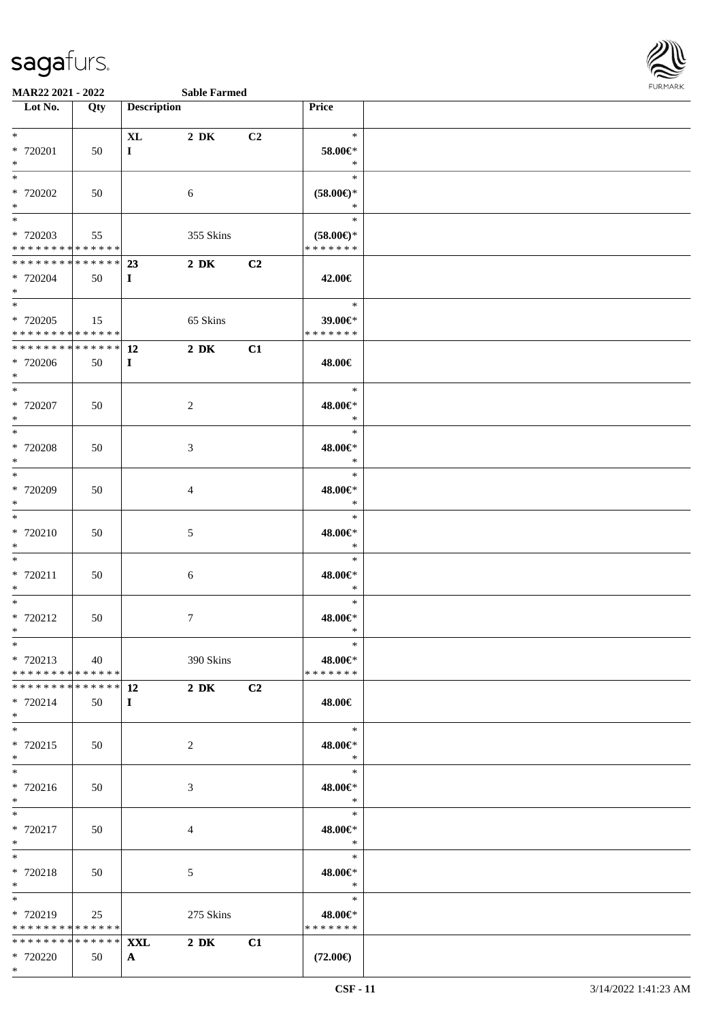

| Lot No.                                                         | $\overline{Q}$ ty | <b>Description</b>            |                  |    | Price                                          |  |
|-----------------------------------------------------------------|-------------------|-------------------------------|------------------|----|------------------------------------------------|--|
|                                                                 |                   |                               |                  |    |                                                |  |
| $*$<br>$* 720201$<br>$*$                                        | 50                | $\mathbf{XL}$<br>$\mathbf{I}$ | 2 DK             | C2 | $\ast$<br>58.00€*<br>$\ast$                    |  |
| $*$<br>* 720202<br>$*$                                          | 50                |                               | 6                |    | $\ast$<br>$(58.00\in)^\ast$<br>$\ast$          |  |
| $*$<br>* 720203<br>* * * * * * * * * * * * * *                  | 55                |                               | 355 Skins        |    | $\ast$<br>$(58.00\epsilon)$ *<br>* * * * * * * |  |
| * 720204<br>$*$                                                 | 50                | $\bf{I}$                      | $2\ \mathrm{DK}$ | C2 | 42.00€                                         |  |
| $*$<br>$* 720205$<br>* * * * * * * * <mark>* * * * * * *</mark> | 15                |                               | 65 Skins         |    | $\ast$<br>39.00€*<br>*******                   |  |
| ************** 12<br>* 720206<br>$*$                            | 50                | $\bf{I}$                      | $2\,$ DK         | C1 | 48.00€                                         |  |
| $*$<br>* 720207<br>$*$                                          | 50                |                               | 2                |    | $\ast$<br>48.00€*<br>$\ast$                    |  |
| $*$<br>$* 720208$<br>$*$                                        | 50                |                               | 3                |    | $\ast$<br>48.00€*<br>$\ast$                    |  |
| $\overline{\phantom{0}}$<br>* 720209<br>$*$                     | 50                |                               | $\overline{4}$   |    | $\ast$<br>48.00€*<br>$\ast$                    |  |
| $*$<br>* 720210<br>$*$                                          | 50                |                               | $5\,$            |    | $\ast$<br>48.00€*<br>$\ast$                    |  |
| $*$<br>$* 720211$<br>$*$                                        | 50                |                               | $\sqrt{6}$       |    | $\ast$<br>48.00€*<br>$\ast$                    |  |
| $\overline{\ast}$<br>* 720212<br>$*$                            | 50                |                               | 7                |    | $\ast$<br>48.00€*<br>$\ast$                    |  |
| $*$<br>* 720213<br>* * * * * * * * * * * * * *                  | 40                |                               | 390 Skins        |    | $\ast$<br>48.00€*<br>* * * * * * *             |  |
| * * * * * * * * * * * * * * *<br>* 720214<br>$*$                | 50                | <b>12</b><br>$\bf{I}$         | $2\ \mathrm{DK}$ | C2 | 48.00€                                         |  |
| $*$<br>* 720215<br>$*$                                          | 50                |                               | $\overline{2}$   |    | $\ast$<br>48.00€*<br>$\ast$                    |  |
| * 720216<br>$*$                                                 | 50                |                               | 3                |    | $\ast$<br>48.00€*<br>$\ast$                    |  |
| $*$<br>* 720217<br>$*$                                          | 50                |                               | 4                |    | $\ast$<br>48.00€*<br>$\ast$                    |  |
| $*$<br>* 720218<br>$*$                                          | 50                |                               | 5                |    | $\ast$<br>48.00€*<br>$\ast$                    |  |
| $*$<br>* 720219<br>* * * * * * * * * * * * * *                  | 25                |                               | 275 Skins        |    | $\ast$<br>48.00€*<br>* * * * * * *             |  |
| * * * * * * * * * * * * * * *<br>* 720220<br>$*$                | 50                | <b>XXL</b><br>$\mathbf{A}$    | $2\,$ DK         | C1 | $(72.00\in)$                                   |  |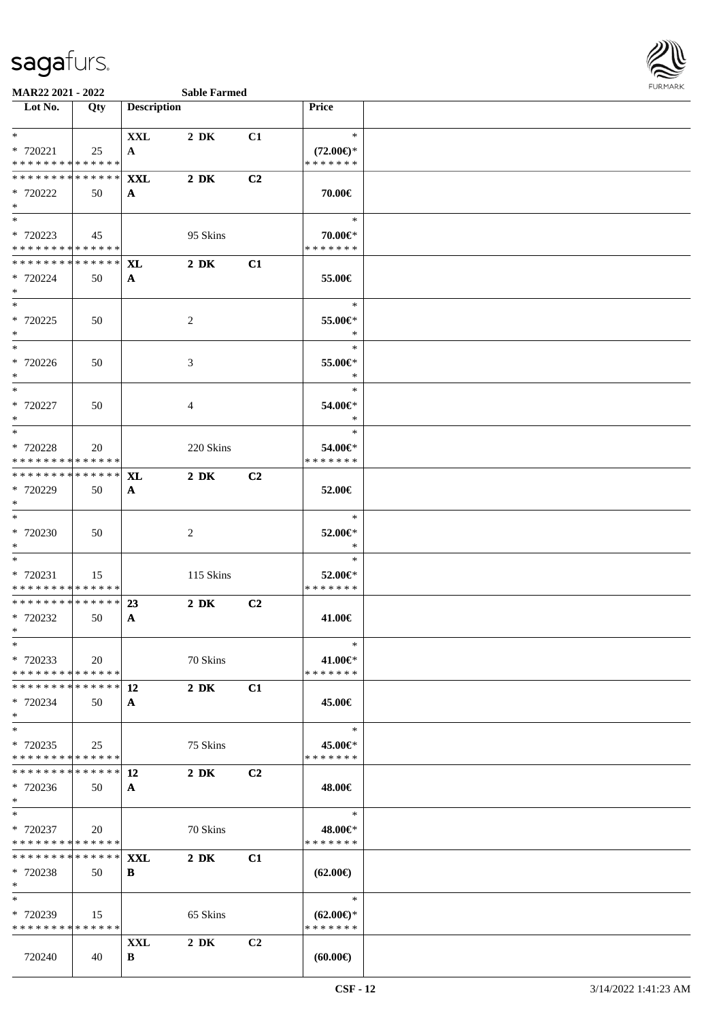

| Lot No.                                    | Qty | <b>Description</b> |                  |                | Price               |  |
|--------------------------------------------|-----|--------------------|------------------|----------------|---------------------|--|
|                                            |     |                    |                  |                |                     |  |
| $*$                                        |     | <b>XXL</b>         | $2\,$ DK         | C1             | $\ast$              |  |
| * 720221                                   | 25  | $\mathbf{A}$       |                  |                | $(72.00\epsilon)$ * |  |
| * * * * * * * * * * * * * *                |     |                    |                  |                | * * * * * * *       |  |
| ******** <mark>******</mark>               |     | <b>XXL</b>         | $2\,$ DK         | C <sub>2</sub> |                     |  |
| * 720222                                   | 50  | $\mathbf{A}$       |                  |                | 70.00€              |  |
| $*$                                        |     |                    |                  |                |                     |  |
| $\ddot{x}$                                 |     |                    |                  |                | $\ast$              |  |
| * 720223                                   | 45  |                    | 95 Skins         |                | 70.00€*             |  |
| * * * * * * * * <mark>* * * * * * *</mark> |     |                    |                  |                | * * * * * * *       |  |
| * * * * * * * * <mark>* * * * * * *</mark> |     |                    |                  |                |                     |  |
|                                            |     | XL                 | $2\,$ DK         | C1             |                     |  |
| * 720224                                   | 50  | $\mathbf{A}$       |                  |                | 55.00€              |  |
| $*$                                        |     |                    |                  |                |                     |  |
| $*$ $-$                                    |     |                    |                  |                | $\ast$              |  |
| * 720225                                   | 50  |                    | 2                |                | 55.00€*             |  |
| $*$                                        |     |                    |                  |                | $\ast$              |  |
| $*$ $*$                                    |     |                    |                  |                | $\ast$              |  |
| * 720226                                   | 50  |                    | 3                |                | 55.00€*             |  |
| $*$                                        |     |                    |                  |                | $\ast$              |  |
| $*$ $*$                                    |     |                    |                  |                | $\ast$              |  |
| * 720227                                   |     |                    |                  |                |                     |  |
|                                            | 50  |                    | 4                |                | 54.00€*             |  |
| $*$                                        |     |                    |                  |                | $\ast$              |  |
|                                            |     |                    |                  |                | $\ast$              |  |
| * 720228                                   | 20  |                    | 220 Skins        |                | 54.00€*             |  |
| * * * * * * * * * * * * * *                |     |                    |                  |                | * * * * * * *       |  |
| ******** <mark>******</mark>               |     | <b>XL</b>          | $2\,$ DK         | C <sub>2</sub> |                     |  |
| * 720229                                   | 50  | $\mathbf{A}$       |                  |                | 52.00€              |  |
| $*$                                        |     |                    |                  |                |                     |  |
| $*$                                        |     |                    |                  |                | $\ast$              |  |
| * 720230                                   | 50  |                    | 2                |                | 52.00€*             |  |
| $*$                                        |     |                    |                  |                | $\ast$              |  |
|                                            |     |                    |                  |                |                     |  |
| $*$ $-$                                    |     |                    |                  |                | $\ast$              |  |
| * 720231                                   | 15  |                    | 115 Skins        |                | 52.00€*             |  |
| * * * * * * * * <mark>* * * * * * *</mark> |     |                    |                  |                | * * * * * * *       |  |
| * * * * * * * * <mark>* * * * * * *</mark> |     | 23                 | $2\,$ DK         | C <sub>2</sub> |                     |  |
| * 720232                                   | 50  | $\mathbf{A}$       |                  |                | 41.00€              |  |
| $*$                                        |     |                    |                  |                |                     |  |
| $\ast$                                     |     |                    |                  |                | $\ast$              |  |
| * 720233                                   | 20  |                    | 70 Skins         |                | 41.00€*             |  |
| * * * * * * * * * * * * * *                |     |                    |                  |                | * * * * * * *       |  |
| * * * * * * * * * * * * * * *              |     | 12                 | $2\,$ DK         | C1             |                     |  |
|                                            |     |                    |                  |                |                     |  |
| * 720234                                   | 50  | $\mathbf{A}$       |                  |                | 45.00€              |  |
| $\ast$                                     |     |                    |                  |                |                     |  |
| $\ast$                                     |     |                    |                  |                | $\ast$              |  |
| * 720235                                   | 25  |                    | 75 Skins         |                | 45.00€*             |  |
| * * * * * * * * * * * * * *                |     |                    |                  |                | * * * * * * *       |  |
| * * * * * * * * <mark>* * * * * * *</mark> |     | 12                 | $2\ \mathrm{DK}$ | C2             |                     |  |
| * 720236                                   | 50  | $\mathbf{A}$       |                  |                | 48.00€              |  |
| $*$                                        |     |                    |                  |                |                     |  |
| $*$                                        |     |                    |                  |                | $\ast$              |  |
| * 720237                                   | 20  |                    | 70 Skins         |                | 48.00€*             |  |
| * * * * * * * * <mark>* * * * * *</mark>   |     |                    |                  |                | * * * * * * *       |  |
| * * * * * * * * * * * * * * *              |     |                    |                  |                |                     |  |
|                                            |     | <b>XXL</b>         | $2\,$ DK         | C1             |                     |  |
| * 720238                                   | 50  | B                  |                  |                | $(62.00\epsilon)$   |  |
| $\ast$                                     |     |                    |                  |                |                     |  |
| $\ast$                                     |     |                    |                  |                | $\ast$              |  |
| * 720239                                   | 15  |                    | 65 Skins         |                | $(62.00\epsilon)$ * |  |
| * * * * * * * * * * * * * *                |     |                    |                  |                | * * * * * * *       |  |
|                                            |     | XXL                | $2\,$ DK         | C <sub>2</sub> |                     |  |
| 720240                                     | 40  | B                  |                  |                | (60.00)             |  |
|                                            |     |                    |                  |                |                     |  |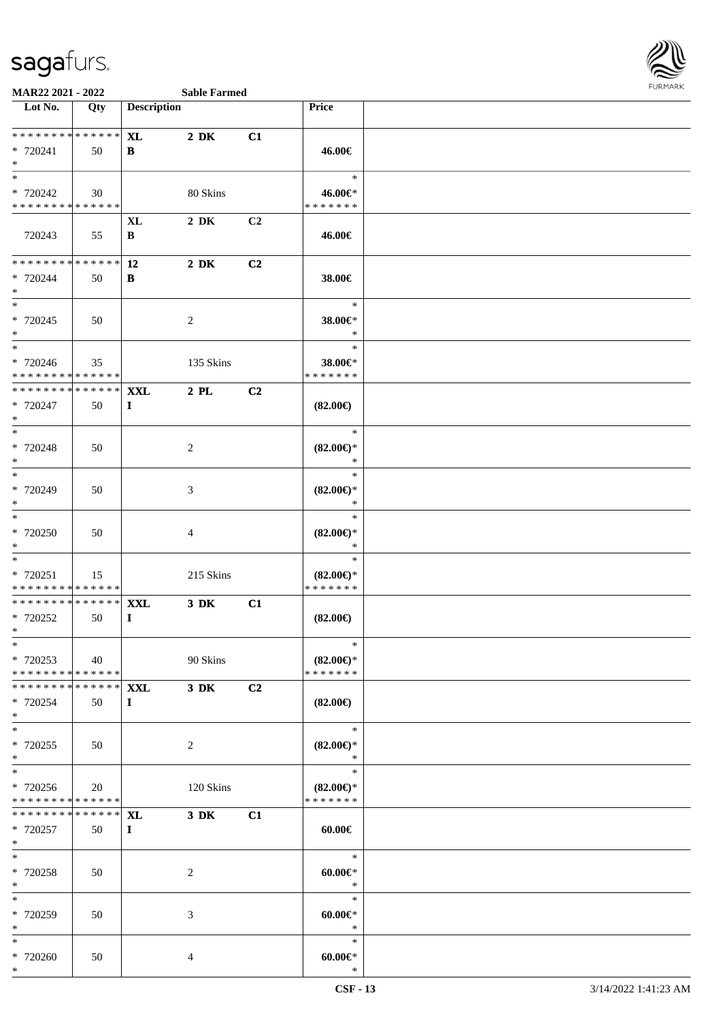

| Lot No.                                                               | Qty               | <b>Description</b>     |                  |                | <b>Price</b>                                   |  |
|-----------------------------------------------------------------------|-------------------|------------------------|------------------|----------------|------------------------------------------------|--|
| **************<br>* 720241<br>$\ast$                                  | 50                | XL<br>B                | $2\,$ DK         | C1             | 46.00€                                         |  |
| $\ast$<br>* 720242<br>* * * * * * * * * * * * * *                     | 30                |                        | 80 Skins         |                | $\ast$<br>46.00€*<br>* * * * * * *             |  |
| 720243                                                                | 55                | XL<br>B                | $2\,$ DK         | C <sub>2</sub> | 46.00€                                         |  |
| * * * * * * * * * * * * * *<br>* 720244<br>$\ast$                     | 50                | 12<br>B                | $2\ \mathrm{DK}$ | C2             | 38.00€                                         |  |
| $\overline{\phantom{1}}$<br>* 720245<br>$*$                           | 50                |                        | $\overline{2}$   |                | $\ast$<br>38.00€*<br>$\ast$                    |  |
| $\overline{\phantom{0}}$<br>* 720246<br>* * * * * * * * * * * * * * * | 35                |                        | 135 Skins        |                | $\ast$<br>38.00€*<br>* * * * * * *             |  |
| * * * * * * * * *<br>* 720247<br>$\ast$                               | * * * * * *<br>50 | <b>XXL</b><br>$\bf{I}$ | $2$ PL           | C2             | $(82.00\epsilon)$                              |  |
| $\overline{\phantom{1}}$<br>* 720248<br>$\ast$                        | 50                |                        | $\overline{2}$   |                | $\ast$<br>$(82.00\epsilon)$ *<br>$\ast$        |  |
| $*$<br>* 720249<br>$\ast$                                             | 50                |                        | $\mathfrak{Z}$   |                | $\ast$<br>$(82.00\epsilon)$ *<br>$\ast$        |  |
| $\ast$<br>* 720250<br>$\ast$                                          | 50                |                        | $\overline{4}$   |                | $\ast$<br>$(82.00\epsilon)$ *<br>$\ast$        |  |
| $\ast$<br>* 720251<br>* * * * * * * * * * * * * *                     | 15                |                        | 215 Skins        |                | $\ast$<br>$(82.00\epsilon)$ *<br>* * * * * * * |  |
| ******** <mark>******</mark><br>* 720252<br>$*$                       | 50                | <b>XXL</b><br>$\bf{I}$ | $3\,$ DK         | C1             | $(82.00\epsilon)$                              |  |
| $*$<br>* 720253<br>* * * * * * * * * * * * * * *                      | 40                |                        | 90 Skins         |                | $*$<br>$(82.00\epsilon)$ *<br>* * * * * * *    |  |
| **************<br>* 720254<br>$\ast$                                  | 50                | <b>XXL</b><br>$\bf{I}$ | $3\,$ DK         | C2             | $(82.00\epsilon)$                              |  |
| $\ast$<br>$*720255$<br>$\ast$                                         | 50                |                        | $\overline{2}$   |                | $\ast$<br>$(82.00\epsilon)$ *<br>$\ast$        |  |
| $\ast$<br>* 720256<br>* * * * * * * * * * * * * *                     | 20                |                        | 120 Skins        |                | $\ast$<br>$(82.00\epsilon)$ *<br>* * * * * * * |  |
| * * * * * * * * * * * * * * *<br>* 720257<br>$*$                      | 50                | <b>XL</b><br>$\bf{I}$  | 3 DK             | C1             | $60.00 \in$                                    |  |
| $\ast$<br>* 720258<br>$*$                                             | 50                |                        | $\overline{2}$   |                | $\ast$<br>$60.00 \in$<br>$\ast$                |  |
| $\ast$<br>* 720259<br>$\ast$                                          | 50                |                        | $\mathfrak{Z}$   |                | $\ast$<br>$60.00 \in$<br>$\ast$                |  |
| $\ast$<br>* 720260<br>$*$                                             | 50                |                        | $\overline{4}$   |                | $\ast$<br>$60.00 \in$<br>$\ast$                |  |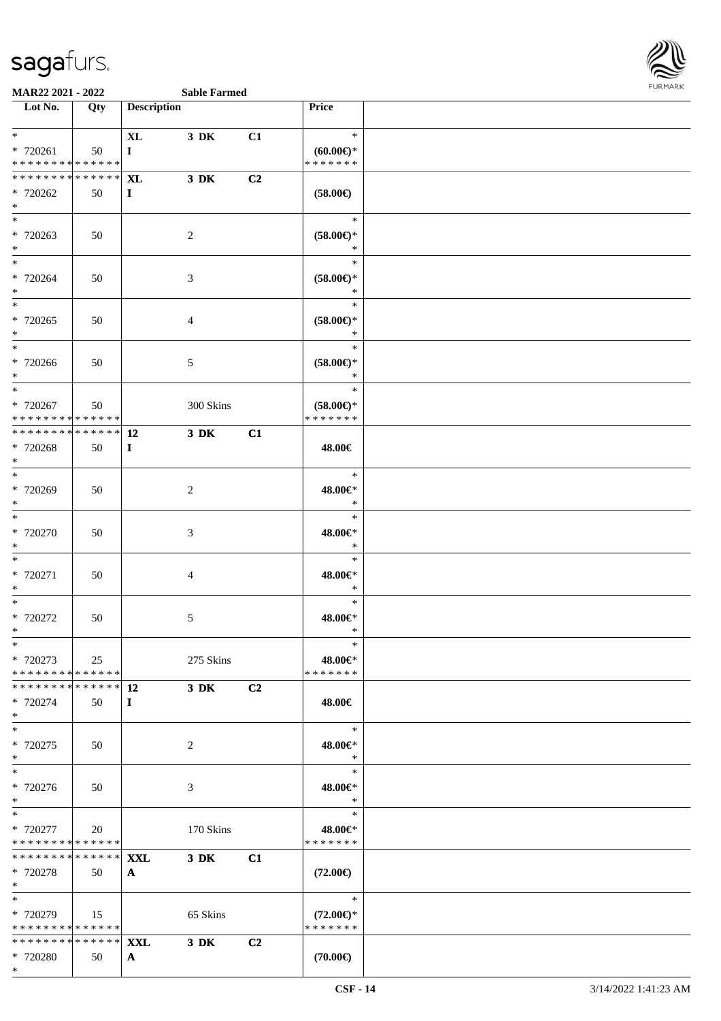

| Lot No.                                                                     | Qty | <b>Description</b>         |                |                | Price                                          |  |
|-----------------------------------------------------------------------------|-----|----------------------------|----------------|----------------|------------------------------------------------|--|
| $*$ $-$<br>$* 720261$<br>* * * * * * * * <mark>* * * * * *</mark> *         | 50  | <b>XL</b><br>$\bf{I}$      | $3\,$ DK       | C1             | $\ast$<br>$(60.00\epsilon)$ *<br>* * * * * * * |  |
| * * * * * * * * * * * * * * *<br>* 720262<br>$*$                            | 50  | XL<br>$\bf{I}$             | $3\,$ DK       | C2             | $(58.00\in)$                                   |  |
| $*$<br>* 720263<br>$*$                                                      | 50  |                            | 2              |                | $\ast$<br>$(58.00\epsilon)$ *<br>$\ast$        |  |
| $\ddot{x}$<br>* 720264<br>$*$                                               | 50  |                            | 3              |                | $\ast$<br>$(58.00\epsilon)$ *<br>$\ast$        |  |
| $\ast$<br>* 720265<br>$*$                                                   | 50  |                            | $\overline{4}$ |                | $\ast$<br>$(58.00\epsilon)$ *<br>$\ast$        |  |
| $*$<br>* 720266<br>$*$                                                      | 50  |                            | 5              |                | $\ast$<br>$(58.00\epsilon)$ *<br>$\ast$        |  |
| $\overline{\ast}$<br>* 720267<br>* * * * * * * * <mark>* * * * * * *</mark> | 50  |                            | 300 Skins      |                | $\ast$<br>$(58.00\epsilon)$ *<br>* * * * * * * |  |
| ************** 12<br>* 720268<br>$*$                                        | 50  | $\bf{I}$                   | $3\,$ DK       | C1             | 48.00€                                         |  |
| $*$<br>* 720269<br>$*$                                                      | 50  |                            | 2              |                | $\ast$<br>48.00€*<br>$\ast$                    |  |
| $*$<br>* 720270<br>$\ast$                                                   | 50  |                            | 3              |                | $\ast$<br>48.00€*<br>$\ast$                    |  |
| $*$<br>* 720271<br>$*$                                                      | 50  |                            | $\overline{4}$ |                | $\ast$<br>48.00€*<br>$\ast$                    |  |
| * 720272<br>$\ast$                                                          | 50  |                            | 5              |                | $\ast$<br>48.00€*<br>$\ast$                    |  |
| $\overline{\ast}$<br>* 720273<br>* * * * * * * * <mark>* * * * * *</mark>   | 25  |                            | 275 Skins      |                | $\ast$<br>48.00€*<br>* * * * * * *             |  |
| * 720274<br>$*$                                                             | 50  | $\bf{I}$                   | $3$ DK         | C2             | 48.00€                                         |  |
| $\ast$<br>* 720275<br>$*$                                                   | 50  |                            | 2              |                | $\ast$<br>48.00€*<br>$\ast$                    |  |
| $\overline{\ast}$<br>* 720276<br>$*$                                        | 50  |                            | 3              |                | $\ast$<br>48.00€*<br>$\ast$                    |  |
| * 720277<br>* * * * * * * * <mark>* * * * * * *</mark>                      | 20  |                            | 170 Skins      |                | $\ast$<br>48.00€*<br>* * * * * * *             |  |
| * * * * * * * * <mark>* * * * * * *</mark><br>* 720278<br>$\ast$            | 50  | <b>XXL</b><br>$\mathbf{A}$ | $3$ DK         | C1             | $(72.00\epsilon)$                              |  |
| $\ast$<br>* 720279<br>* * * * * * * * <mark>* * * * * *</mark> *            | 15  |                            | 65 Skins       |                | $\ast$<br>$(72.00\epsilon)$ *<br>* * * * * * * |  |
| * * * * * * * * * * * * * * <mark>*</mark><br>* 720280<br>$\ast$            | 50  | <b>XXL</b><br>$\mathbf{A}$ | $3\,$ DK       | C <sub>2</sub> | $(70.00\in)$                                   |  |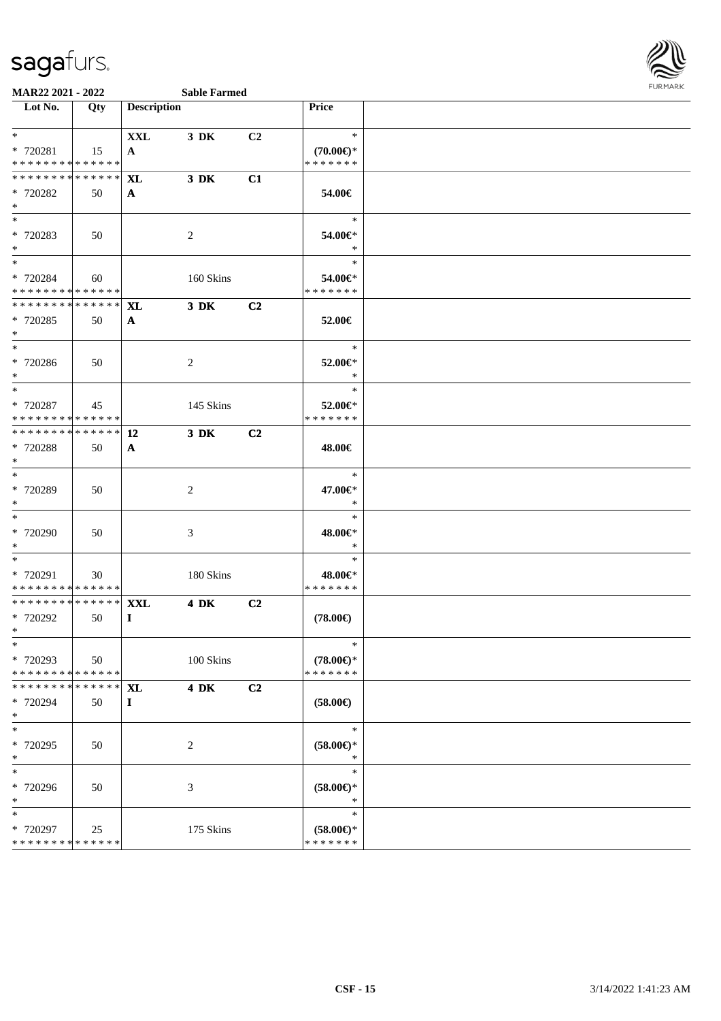

| Lot No.                       | Qty         | <b>Description</b> |                |                | Price               |  |
|-------------------------------|-------------|--------------------|----------------|----------------|---------------------|--|
| $*$                           |             | <b>XXL</b>         | 3 DK           | C2             | $\ast$              |  |
| * 720281                      | 15          | A                  |                |                | $(70.00\epsilon)$ * |  |
| * * * * * * * * * * * * * *   |             |                    |                |                | * * * * * * *       |  |
| * * * * * * * * * * * * * *   |             | <b>XL</b>          | 3 DK           | C1             |                     |  |
| * 720282                      | 50          | $\mathbf{A}$       |                |                | 54.00€              |  |
| $*$                           |             |                    |                |                |                     |  |
| $*$                           |             |                    |                |                | $\ast$              |  |
| * 720283                      | 50          |                    | $\overline{2}$ |                | 54.00€*             |  |
| $*$                           |             |                    |                |                | $\ast$              |  |
| $*$                           |             |                    |                |                | $\ast$              |  |
| * 720284                      | 60          |                    | 160 Skins      |                | 54.00€*             |  |
| * * * * * * * * * * * * * *   |             |                    |                |                | * * * * * * *       |  |
| * * * * * * * * * * * * * *   |             | <b>XL</b>          | $3$ DK         | C2             |                     |  |
| * 720285                      | 50          | $\mathbf{A}$       |                |                | 52.00€              |  |
| $*$                           |             |                    |                |                |                     |  |
| $*$                           |             |                    |                |                | $\ast$              |  |
| $* 720286$                    | 50          |                    | $\overline{2}$ |                | 52.00€*             |  |
| $*$                           |             |                    |                |                | $\ast$              |  |
|                               |             |                    |                |                | $\ast$              |  |
| * 720287                      |             |                    |                |                | 52.00€*             |  |
| * * * * * * * * * * * * * *   | 45          |                    | 145 Skins      |                | * * * * * * *       |  |
| * * * * * * * * * * * * * * * |             | 12                 | 3 DK           | C <sub>2</sub> |                     |  |
|                               |             |                    |                |                |                     |  |
| * 720288<br>$*$               | 50          | $\mathbf{A}$       |                |                | 48.00€              |  |
| $*$                           |             |                    |                |                | $\ast$              |  |
| * 720289                      | 50          |                    |                |                | 47.00€*             |  |
| $*$                           |             |                    | $\overline{2}$ |                | $\ast$              |  |
| $*$                           |             |                    |                |                | $\ast$              |  |
| * 720290                      | 50          |                    |                |                | 48.00€*             |  |
| $*$                           |             |                    | 3              |                | $\ast$              |  |
| $\ast$                        |             |                    |                |                | $\ast$              |  |
| * 720291                      | 30          |                    | 180 Skins      |                | 48.00€*             |  |
| * * * * * * * * * * * * * *   |             |                    |                |                | * * * * * * *       |  |
| ******** <mark>******</mark>  |             | <b>XXL</b>         | <b>4 DK</b>    | C2             |                     |  |
| $* 720292$                    | 50          | $\bf{I}$           |                |                | $(78.00\in)$        |  |
| $*$                           |             |                    |                |                |                     |  |
| $*$                           |             |                    |                |                | $\ast$              |  |
| * 720293                      | 50          |                    | 100 Skins      |                | $(78.00\epsilon)$ * |  |
| * * * * * * * * * * * * * *   |             |                    |                |                | * * * * * * *       |  |
| * * * * * * * *               | * * * * * * | <b>XL</b>          | <b>4 DK</b>    | C2             |                     |  |
|                               | 50          |                    |                |                | $(58.00\epsilon)$   |  |
| * 720294<br>$*$               |             | $\mathbf{I}$       |                |                |                     |  |
| $*$                           |             |                    |                |                | $\ast$              |  |
| * 720295                      | 50          |                    | 2              |                | $(58.00ε)$ *        |  |
| $*$                           |             |                    |                |                | $\ast$              |  |
| $*$                           |             |                    |                |                | $\ast$              |  |
| * 720296                      | 50          |                    | 3              |                | $(58.00ε)$ *        |  |
| $*$                           |             |                    |                |                | $\ast$              |  |
| $\ast$                        |             |                    |                |                | $\ast$              |  |
| * 720297                      | 25          |                    | 175 Skins      |                | $(58.00ε)$ *        |  |
| * * * * * * * * * * * * * *   |             |                    |                |                | * * * * * * *       |  |
|                               |             |                    |                |                |                     |  |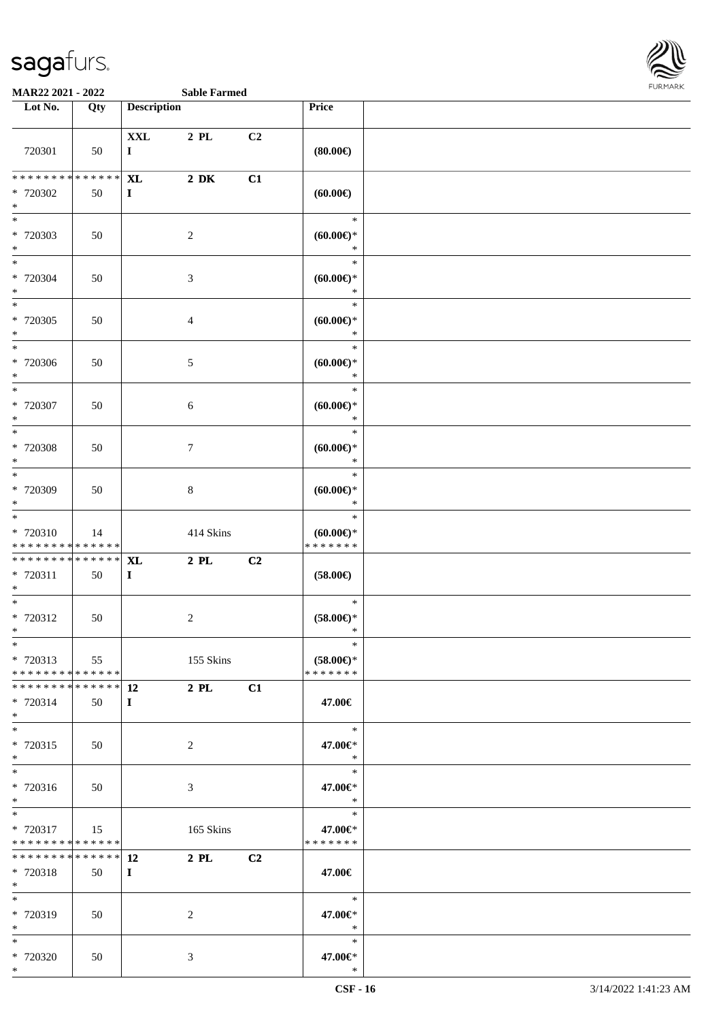

| Lot No.                                                                               | Qty | <b>Description</b>         |                     |    | Price                                      |  |
|---------------------------------------------------------------------------------------|-----|----------------------------|---------------------|----|--------------------------------------------|--|
| 720301                                                                                | 50  | $\mathbf{XXL}$<br>$\bf{I}$ | $2$ PL              | C2 | (80.00)                                    |  |
| * * * * * * * * <mark>* * * * * * *</mark><br>* 720302<br>$*$                         | 50  | <b>XL</b><br>$\bf{I}$      | $2\,$ DK            | C1 | (60.00)                                    |  |
| * 720303<br>$*$                                                                       | 50  |                            | $\overline{2}$      |    | $\ast$<br>$(60.00ε)$ *<br>$\ast$           |  |
| $\overline{\ast}$<br>* 720304<br>$*$                                                  | 50  |                            | 3                   |    | $\ast$<br>$(60.00\epsilon)$ *<br>$\ast$    |  |
| $\overline{\ }$<br>* 720305<br>$*$                                                    | 50  |                            | $\overline{4}$      |    | $\ast$<br>$(60.00\epsilon)$ *<br>$\ast$    |  |
| * 720306<br>$*$<br>$\overline{\ast}$                                                  | 50  |                            | 5                   |    | $\ast$<br>$(60.00\epsilon)$ *<br>$\ast$    |  |
| * 720307<br>$\ast$<br>$\overline{\phantom{0}}$                                        | 50  |                            | 6                   |    | $\ast$<br>$(60.00\varepsilon)$ *<br>$\ast$ |  |
| * 720308<br>$*$<br>$*$                                                                | 50  |                            | $\tau$              |    | $\ast$<br>$(60.00\varepsilon)$ *<br>$\ast$ |  |
| * 720309<br>$*$<br>$\overline{\ }$                                                    | 50  |                            | $\,8\,$             |    | $\ast$<br>$(60.00ε)$ *<br>$\ast$<br>$\ast$ |  |
| * 720310<br>* * * * * * * * * * * * * *<br>* * * * * * * * * * * * * * <mark>*</mark> | 14  |                            | 414 Skins           |    | $(60.00ε)$ *<br>* * * * * * *              |  |
| * 720311<br>$*$<br>$*$                                                                | 50  | <b>XL</b><br>$\bf{I}$      | $2$ PL              | C2 | $(58.00\in)$<br>$\ast$                     |  |
| * 720312<br>$*$                                                                       | 50  |                            | $\overline{c}$      |    | $(58.00\epsilon)^\ast$<br>$\ast$           |  |
| $*$<br>* 720313<br>* * * * * * * * <mark>* * * * * * *</mark><br>************** 12    | 55  |                            | 155 Skins           |    | $\ast$<br>$(58.00ε)$ *<br>* * * * * * *    |  |
| * 720314<br>$*$<br>$*$                                                                | 50  | $\bf{I}$                   | 2 PL                | C1 | 47.00€<br>$\ast$                           |  |
| * 720315<br>$*$<br>$*$                                                                | 50  |                            | 2                   |    | 47.00€*<br>$\ast$<br>$\ast$                |  |
| * 720316<br>$*$<br>$*$                                                                | 50  |                            | 3                   |    | 47.00€*<br>$\ast$<br>$\ast$                |  |
| * 720317<br>* * * * * * * * <mark>* * * * * *</mark><br>************** 12             | 15  |                            | 165 Skins<br>$2$ PL | C2 | 47.00€*<br>* * * * * * *                   |  |
| * 720318<br>$*$<br>$*$ $*$                                                            | 50  | $\bf{I}$                   |                     |    | 47.00€<br>$\ast$                           |  |
| * 720319<br>$*$<br>$*$                                                                | 50  |                            | 2                   |    | 47.00€*<br>$\ast$<br>$\ast$                |  |
| * 720320<br>$*$                                                                       | 50  |                            | 3                   |    | 47.00€*<br>$\ast$                          |  |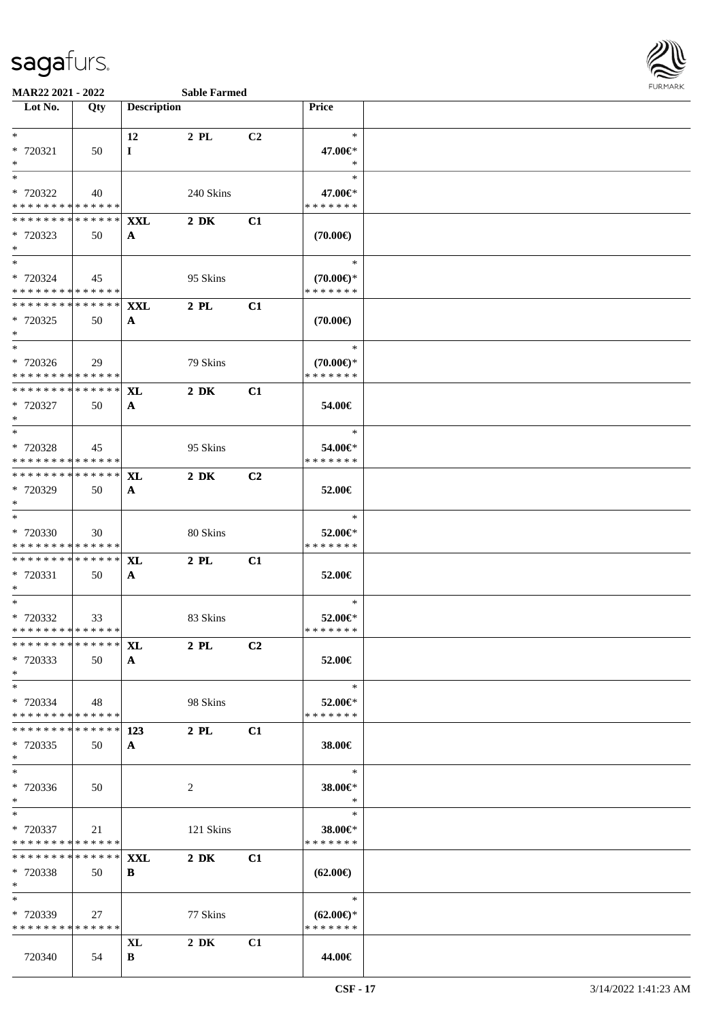

| $\overline{\phantom{1}}$ Lot No.                            | Qty         | <b>Description</b> |                  |          | Price                    |  |
|-------------------------------------------------------------|-------------|--------------------|------------------|----------|--------------------------|--|
| $*$ $-$                                                     |             |                    |                  |          | $\ast$                   |  |
| * 720321                                                    | 50          | 12<br>$\bf{I}$     | 2 PL             | C2       | 47.00€*                  |  |
| $*$                                                         |             |                    |                  |          | $\ast$                   |  |
| $*$                                                         |             |                    |                  |          | $\ast$                   |  |
| * 720322                                                    | 40          |                    | 240 Skins        |          | 47.00€*                  |  |
| * * * * * * * * * * * * * *                                 |             |                    |                  |          | * * * * * * *            |  |
| ******** <sup>*</sup> ****** <mark>XXL</mark><br>* 720323   | 50          | A                  | $2\ \mathrm{DK}$ | C1       | $(70.00\epsilon)$        |  |
| $*$ $-$                                                     |             |                    |                  |          |                          |  |
| $*$ $*$                                                     |             |                    |                  |          | $\ast$                   |  |
| * 720324                                                    | 45          |                    | 95 Skins         |          | $(70.00\epsilon)$ *      |  |
| * * * * * * * * * * * * * *                                 |             |                    |                  |          | * * * * * * *            |  |
| * * * * * * * * * * * * * * *<br>* 720325                   | 50          | XXL                | $2$ PL           | C1       | $(70.00\epsilon)$        |  |
| $*$                                                         |             | $\mathbf{A}$       |                  |          |                          |  |
| $*$                                                         |             |                    |                  |          | $\ast$                   |  |
| * 720326                                                    | 29          |                    | 79 Skins         |          | $(70.00\epsilon)$ *      |  |
| * * * * * * * * * * * * * *<br>******** <mark>******</mark> |             |                    |                  |          | * * * * * * *            |  |
| * 720327                                                    | 50          | <b>XL</b>          | $2\ \mathrm{DK}$ | C1       | 54.00€                   |  |
| $*$                                                         |             | $\mathbf{A}$       |                  |          |                          |  |
| $*$                                                         |             |                    |                  |          | $\ast$                   |  |
| * 720328                                                    | 45          |                    | 95 Skins         |          | 54.00€*                  |  |
| * * * * * * * * * * * * * *                                 |             |                    |                  |          | * * * * * * *            |  |
| ******** <mark>******</mark><br>* 720329                    | 50          | <b>XL</b>          | $2\ \mathrm{DK}$ | C2       | 52.00€                   |  |
| $*$                                                         |             | $\mathbf{A}$       |                  |          |                          |  |
| $*$                                                         |             |                    |                  |          | $\ast$                   |  |
| * 720330                                                    | 30          |                    | 80 Skins         |          | 52.00€*                  |  |
| * * * * * * * * * * * * * *<br>******** <mark>******</mark> |             |                    |                  |          | * * * * * * *            |  |
| * 720331                                                    | 50          | XL<br>$\mathbf{A}$ | $2$ PL           | C1       | 52.00€                   |  |
| $*$                                                         |             |                    |                  |          |                          |  |
| $*$                                                         |             |                    |                  |          | $\ast$                   |  |
| * 720332                                                    | 33          |                    | 83 Skins         |          | 52.00€*                  |  |
| * * * * * * * * * * * * * * *<br>*************** XL         |             |                    | $2$ PL           |          | * * * * * * *            |  |
| * 720333                                                    | 50          | $\mathbf{A}$       |                  | $\bf C2$ | 52.00€                   |  |
| $*$                                                         |             |                    |                  |          |                          |  |
| $*$                                                         |             |                    |                  |          | $\ast$                   |  |
| * 720334<br>* * * * * * * * * * * * * *                     | 48          |                    | 98 Skins         |          | 52.00€*<br>* * * * * * * |  |
| * * * * * * * *                                             | ******      | 123                | $2$ PL           | C1       |                          |  |
| * 720335                                                    | 50          | $\mathbf{A}$       |                  |          | 38.00€                   |  |
| $*$                                                         |             |                    |                  |          |                          |  |
| $*$                                                         |             |                    |                  |          | $\ast$                   |  |
| * 720336<br>$*$                                             | 50          |                    | 2                |          | 38.00€*<br>$\ast$        |  |
| $*$                                                         |             |                    |                  |          | $\ast$                   |  |
| * 720337                                                    | 21          |                    | 121 Skins        |          | 38.00€*                  |  |
| * * * * * * * * * * * * * *                                 |             |                    |                  |          | * * * * * * *            |  |
| * * * * * * * *                                             | * * * * * * | <b>XXL</b>         | $2\ \mathrm{DK}$ | C1       |                          |  |
| * 720338<br>$*$                                             | 50          | B                  |                  |          | $(62.00\epsilon)$        |  |
| $*$                                                         |             |                    |                  |          | $\ast$                   |  |
| * 720339                                                    | 27          |                    | 77 Skins         |          | $(62.00\epsilon)$ *      |  |
| * * * * * * * * * * * * * *                                 |             |                    |                  |          | * * * * * * *            |  |
|                                                             |             | <b>XL</b>          | $2\,$ DK         | C1       |                          |  |
| 720340                                                      | 54          | B                  |                  |          | 44.00€                   |  |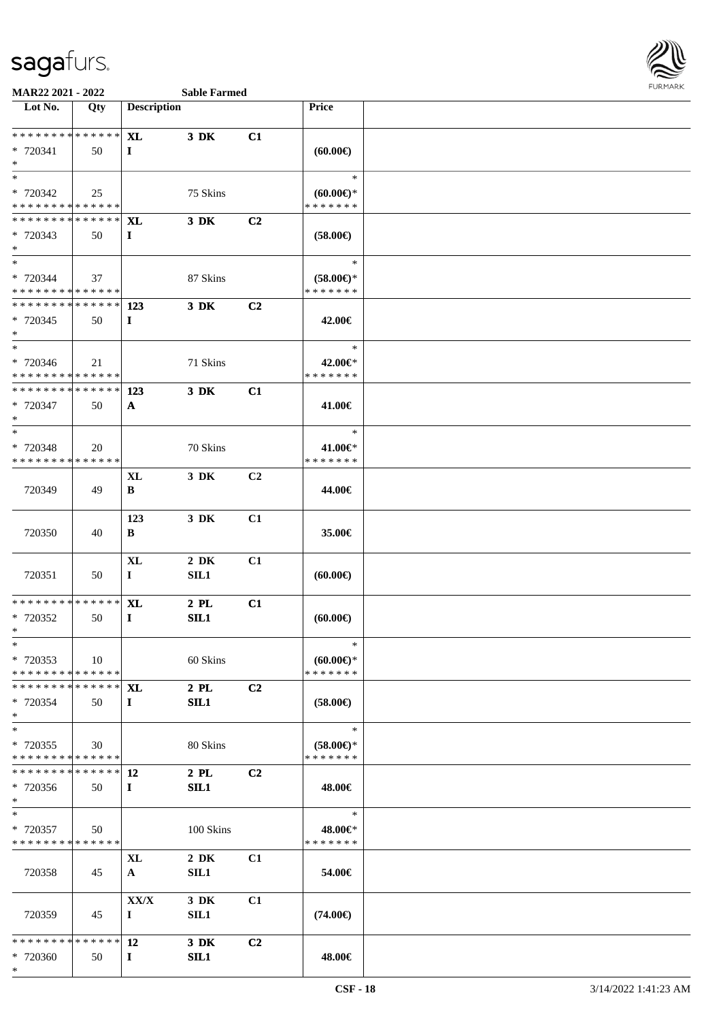

| Lot No.                                    | Qty | <b>Description</b> |           |                | <b>Price</b>                            |  |
|--------------------------------------------|-----|--------------------|-----------|----------------|-----------------------------------------|--|
| * * * * * * * * * * * * * * *              |     |                    |           |                |                                         |  |
|                                            |     | <b>XL</b>          | 3 DK      | C1             |                                         |  |
| * 720341<br>$*$                            | 50  | $\bf{I}$           |           |                | (60.00)                                 |  |
| $*$                                        |     |                    |           |                | $\ast$                                  |  |
| * 720342                                   | 25  |                    | 75 Skins  |                | $(60.00\varepsilon)$ *                  |  |
| * * * * * * * * * * * * * *                |     |                    |           |                | * * * * * * *                           |  |
| * * * * * * * * * * * * * * *              |     | <b>XL</b>          | 3 DK      | C <sub>2</sub> |                                         |  |
| * 720343                                   | 50  | $\mathbf{I}$       |           |                | $(58.00\epsilon)$                       |  |
| $*$                                        |     |                    |           |                |                                         |  |
| $*$                                        |     |                    |           |                | $\ast$                                  |  |
| * 720344                                   | 37  |                    | 87 Skins  |                | $(58.00\epsilon)$ *                     |  |
| * * * * * * * * <mark>* * * * * * *</mark> |     |                    |           |                | * * * * * * *                           |  |
| ************** 123                         |     |                    | 3 DK      | C2             |                                         |  |
| * 720345<br>$*$                            | 50  | $\bf{I}$           |           |                | 42.00€                                  |  |
| $*$                                        |     |                    |           |                | $\ast$                                  |  |
| * 720346                                   | 21  |                    | 71 Skins  |                | 42.00€*                                 |  |
| * * * * * * * * * * * * * *                |     |                    |           |                | * * * * * * *                           |  |
| * * * * * * * * * * * * * * *              |     | 123                | 3 DK      | C1             |                                         |  |
| * 720347                                   | 50  | $\mathbf{A}$       |           |                | 41.00€                                  |  |
| $\ast$                                     |     |                    |           |                |                                         |  |
| $*$                                        |     |                    |           |                | $\ast$                                  |  |
| * 720348                                   | 20  |                    | 70 Skins  |                | 41.00€*                                 |  |
| * * * * * * * * * * * * * *                |     |                    |           |                | * * * * * * *                           |  |
|                                            |     | XL                 | 3 DK      | C2             |                                         |  |
| 720349                                     | 49  | B                  |           |                | 44.00€                                  |  |
|                                            |     |                    |           |                |                                         |  |
| 720350                                     | 40  | 123                | 3 DK      | C1             | 35.00€                                  |  |
|                                            |     | B                  |           |                |                                         |  |
|                                            |     | XL                 | $2\,$ DK  | C1             |                                         |  |
| 720351                                     | 50  | $\bf{I}$           | SL1       |                | (60.00)                                 |  |
|                                            |     |                    |           |                |                                         |  |
| * * * * * * * * * * * * * *                |     | <b>XL</b>          | $2$ PL    | C1             |                                         |  |
| * 720352                                   | 50  | $\mathbf{I}$       | SL1       |                | (60.00)                                 |  |
| $*$                                        |     |                    |           |                |                                         |  |
| $*$                                        |     |                    |           |                | $\ast$                                  |  |
| * 720353<br>* * * * * * * * * * * * * *    | 10  |                    | 60 Skins  |                | $(60.00\varepsilon)$ *<br>* * * * * * * |  |
| * * * * * * * * * * * * * * *              |     | XL                 | $2$ PL    | C <sub>2</sub> |                                         |  |
| * 720354                                   | 50  | $\mathbf{I}$       | SIL1      |                | $(58.00\epsilon)$                       |  |
| $*$                                        |     |                    |           |                |                                         |  |
| $*$                                        |     |                    |           |                | $\ast$                                  |  |
| * 720355                                   | 30  |                    | 80 Skins  |                | $(58.00\epsilon)$ *                     |  |
| * * * * * * * * * * * * * *                |     |                    |           |                | * * * * * * *                           |  |
| * * * * * * * * * * * * * *                |     | 12                 | $2$ PL    | C2             |                                         |  |
| * 720356                                   | 50  | $\bf{I}$           | SIL1      |                | 48.00€                                  |  |
| $*$                                        |     |                    |           |                |                                         |  |
| $*$                                        |     |                    |           |                | $\ast$                                  |  |
| * 720357<br>* * * * * * * * * * * * * *    | 50  |                    | 100 Skins |                | 48.00€*<br>* * * * * * *                |  |
|                                            |     | XL                 | $2\,$ DK  | C1             |                                         |  |
| 720358                                     | 45  | $\mathbf{A}$       | SL1       |                | 54.00€                                  |  |
|                                            |     |                    |           |                |                                         |  |
|                                            |     | XX/X               | $3\,$ DK  | C1             |                                         |  |
| 720359                                     | 45  | $\bf{I}$           | SIL1      |                | $(74.00\epsilon)$                       |  |
|                                            |     |                    |           |                |                                         |  |
| * * * * * * * * * * * * * *                |     | 12                 | $3\,$ DK  | C <sub>2</sub> |                                         |  |
| * 720360                                   | 50  | $\bf{I}$           | SL1       |                | 48.00€                                  |  |
| $*$                                        |     |                    |           |                |                                         |  |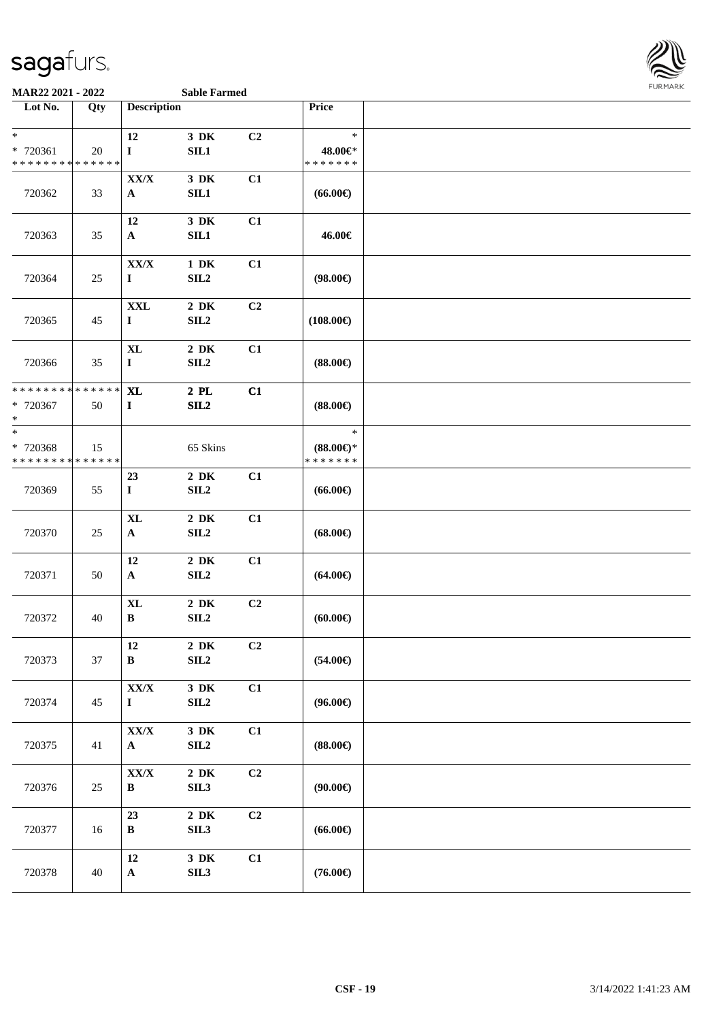

#### **MAR22 2021 - 2022 Sable Farmed**

| Lot No.                     | Qty         | <b>Description</b>            |                              |                | Price               |  |
|-----------------------------|-------------|-------------------------------|------------------------------|----------------|---------------------|--|
|                             |             |                               |                              |                |                     |  |
| $\ast$<br>* 720361          | 20          | 12                            | 3 DK                         | C2             | $\ast$<br>48.00€*   |  |
| * * * * * * * * * * * * * * |             | $\bf{I}$                      | SIL1                         |                | *******             |  |
|                             |             | ${\bf XX/ X}$                 | $3\,$ DK                     | C1             |                     |  |
| 720362                      | 33          | $\mathbf{A}$                  | SIL1                         |                | $(66.00\epsilon)$   |  |
|                             |             |                               |                              |                |                     |  |
|                             |             | 12                            | $3\,$ DK                     | C1             |                     |  |
| 720363                      | 35          | ${\bf A}$                     | SL1                          |                | 46.00€              |  |
|                             |             | ${\bf XX/ X}$                 | $1\,$ DK                     | C1             |                     |  |
| 720364                      | 25          | $\bf{I}$                      | SL2                          |                | $(98.00\epsilon)$   |  |
|                             |             |                               |                              |                |                     |  |
|                             |             | <b>XXL</b>                    | $2\,$ DK                     | C2             |                     |  |
| 720365                      | 45          | $\mathbf I$                   | SL2                          |                | $(108.00\epsilon)$  |  |
|                             |             | <b>XL</b>                     | $2\,$ DK                     | C1             |                     |  |
| 720366                      | 35          | $\mathbf{I}$                  | SL2                          |                | $(88.00\epsilon)$   |  |
|                             |             |                               |                              |                |                     |  |
| * * * * * * * *             | * * * * * * | <b>XL</b>                     | $2\,$ PL                     | C1             |                     |  |
| * 720367                    | 50          | $\bf{I}$                      | SL2                          |                | $(88.00\epsilon)$   |  |
| $\ast$<br>$\ast$            |             |                               |                              |                | $\ast$              |  |
| * 720368                    | 15          |                               | 65 Skins                     |                | $(88.00\epsilon)$ * |  |
| * * * * * * * *             | * * * * * * |                               |                              |                | * * * * * * *       |  |
|                             |             | 23                            | $2\,$ DK                     | C1             |                     |  |
| 720369                      | 55          | $\bf{I}$                      | SL2                          |                | $(66.00\epsilon)$   |  |
|                             |             | <b>XL</b>                     | $2\,$ DK                     | C1             |                     |  |
| 720370                      | 25          | $\mathbf{A}$                  | SL2                          |                | $(68.00\epsilon)$   |  |
|                             |             |                               |                              |                |                     |  |
|                             |             | 12                            | $2\,$ DK                     | C1             |                     |  |
| 720371                      | 50          | $\mathbf{A}$                  | SL2                          |                | $(64.00\epsilon)$   |  |
|                             |             | $\bold{X}\bold{L}$            | $2\,$ DK                     | C2             |                     |  |
| 720372                      | 40          | $\, {\bf B}$                  | SL2                          |                | (60.00)             |  |
|                             |             |                               |                              |                |                     |  |
|                             |             | 12                            | $2\,$ DK                     | C <sub>2</sub> |                     |  |
| 720373                      | 37          | $\, {\bf B}$                  | SL2                          |                | $(54.00\epsilon)$   |  |
|                             |             |                               |                              |                |                     |  |
| 720374                      | 45          | ${\bf XX/ X}$<br>$\bf{I}$     | $3\,$ DK<br>SL2              | C1             | $(96.00\epsilon)$   |  |
|                             |             |                               |                              |                |                     |  |
|                             |             | ${\bf XX/ X}$                 | $3\,$ DK                     | C1             |                     |  |
| 720375                      | 41          | $\mathbf{A}$                  | SL2                          |                | $(88.00\epsilon)$   |  |
|                             |             |                               |                              |                |                     |  |
| 720376                      | $25\,$      | ${\bf XX/ X}$<br>$\, {\bf B}$ | $2\,$ DK<br>SIL <sub>3</sub> | C2             | (90.00)             |  |
|                             |             |                               |                              |                |                     |  |
|                             |             | 23                            | $2\,$ DK                     | C2             |                     |  |
| 720377                      | 16          | $\, {\bf B}$                  | SIL <sub>3</sub>             |                | $(66.00\epsilon)$   |  |
|                             |             |                               |                              |                |                     |  |
| 720378                      | $40\,$      | 12                            | $3\,$ DK<br>SIL3             | C1             | $(76.00\in)$        |  |
|                             |             | $\mathbf A$                   |                              |                |                     |  |
|                             |             |                               |                              |                |                     |  |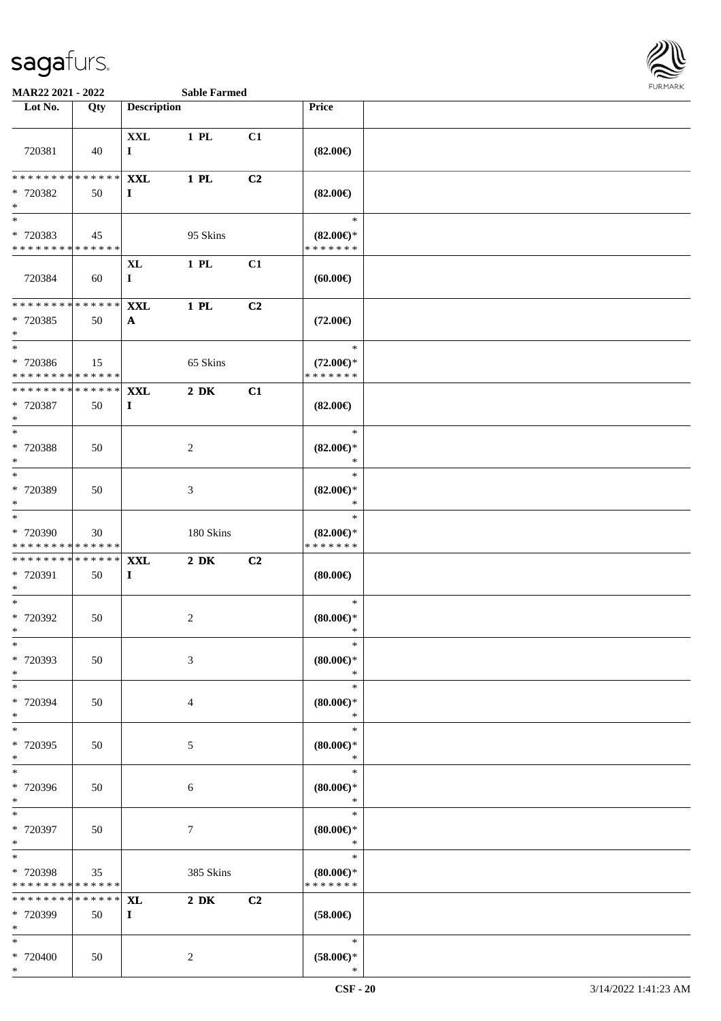

| Lot No.                                                             | Qty               | <b>Description</b>         |                  |                | Price                                          |  |
|---------------------------------------------------------------------|-------------------|----------------------------|------------------|----------------|------------------------------------------------|--|
|                                                                     |                   |                            |                  |                |                                                |  |
| 720381                                                              | 40                | <b>XXL</b><br>$\mathbf I$  | 1 PL             | C1             | $(82.00\epsilon)$                              |  |
| ******** <mark>******</mark><br>* 720382<br>$\ast$                  | 50                | <b>XXL</b><br>$\mathbf{I}$ | 1 PL             | C2             | $(82.00\epsilon)$                              |  |
| $\overline{\phantom{0}}$<br>* 720383<br>* * * * * * * * * * * * * * | 45                |                            | 95 Skins         |                | $\ast$<br>$(82.00\epsilon)$ *<br>* * * * * * * |  |
| 720384                                                              | 60                | $\mathbf{XL}$<br>$\bf{I}$  | 1 PL             | C1             | (60.00)                                        |  |
| * * * * * * * * * * * * * *<br>* 720385<br>$\ast$                   | 50                | <b>XXL</b><br>$\mathbf{A}$ | 1 PL             | C2             | $(72.00\epsilon)$                              |  |
| $\overline{\phantom{0}}$<br>* 720386<br>* * * * * * * * * * * * * * | 15                |                            | 65 Skins         |                | $\ast$<br>$(72.00\epsilon)$ *<br>* * * * * * * |  |
| ************** <b>XXL</b><br>* 720387<br>$\ast$                     | 50                | $\bf{I}$                   | $2\ \mathrm{DK}$ | C1             | $(82.00\epsilon)$                              |  |
| $\ast$<br>* 720388<br>$\ast$                                        | 50                |                            | $\overline{c}$   |                | $\ast$<br>$(82.00\epsilon)$ *<br>$\ast$        |  |
| $\overline{\phantom{0}}$<br>* 720389<br>$\ast$<br>$\ast$            | 50                |                            | $\mathfrak{Z}$   |                | $\ast$<br>$(82.00\epsilon)$ *<br>$\ast$        |  |
| * 720390<br>* * * * * * * * * * * * * *                             | 30                |                            | 180 Skins        |                | $\ast$<br>$(82.00\epsilon)$ *<br>* * * * * * * |  |
| **************<br>* 720391<br>$\ast$                                | 50                | <b>XXL</b><br>$\mathbf I$  | $2\ \mathrm{DK}$ | C <sub>2</sub> | (80.00)                                        |  |
| $\overline{\phantom{a}^*}$<br>* 720392<br>$*$                       | 50                |                            | $\sqrt{2}$       |                | $\ast$<br>(80.00)<br>$\ast$                    |  |
| $\ast$<br>* 720393<br>$\ast$                                        | 50                |                            | 3                |                | $\ast$<br>(80.00)<br>$\ast$                    |  |
| $\ast$<br>* 720394<br>$\ast$                                        | 50                |                            | $\overline{4}$   |                | $\ast$<br>$(80.00\in)^\ast$<br>$\ast$          |  |
| $_{\ast}$<br>* 720395<br>$\ast$                                     | 50                |                            | $\sqrt{5}$       |                | $\ast$<br>$(80.00\epsilon)$ *<br>$\ast$        |  |
| $\overline{\ast}$<br>* 720396<br>$\ast$                             | 50                |                            | $\sqrt{6}$       |                | $\ast$<br>$(80.00\epsilon)$ *<br>$\ast$        |  |
| $\ast$<br>* 720397<br>$\ast$                                        | 50                |                            | $\boldsymbol{7}$ |                | $\ast$<br>$(80.00 \in )^*$<br>$\ast$           |  |
| $\ast$<br>* 720398<br>* * * * * * * * * * * * * *                   | 35                |                            | 385 Skins        |                | $\ast$<br>$(80.00\epsilon)$ *<br>* * * * * * * |  |
| * * * * * * * *<br>* 720399<br>$\ast$                               | * * * * * *<br>50 | <b>XL</b><br>$\mathbf{I}$  | $2\,$ DK         | C2             | $(58.00\in)$                                   |  |
| $\ast$<br>* 720400<br>$*$                                           | 50                |                            | $\sqrt{2}$       |                | $\ast$<br>$(58.00\in)\!\!^*$<br>$\ast$         |  |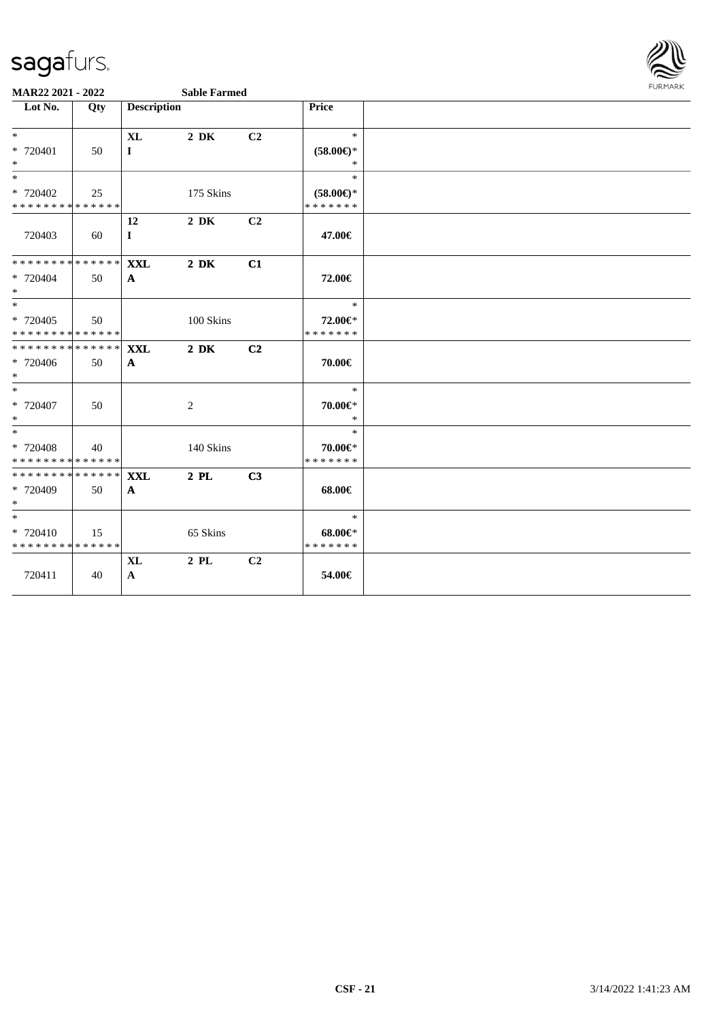

| Lot No.                                                     | Qty | <b>Description</b> |                  |    | Price                         |  |
|-------------------------------------------------------------|-----|--------------------|------------------|----|-------------------------------|--|
| $*$                                                         |     | $\mathbf{XL}$      | $2\,$ DK         | C2 | $\ast$                        |  |
| $* 720401$<br>$\ast$                                        | 50  | $\bf{I}$           |                  |    | $(58.00\epsilon)$ *<br>$\ast$ |  |
| $\ast$                                                      |     |                    |                  |    | $\ast$                        |  |
| * 720402                                                    | 25  |                    | 175 Skins        |    | $(58.00\epsilon)$ *           |  |
| **************                                              |     |                    |                  |    | * * * * * * *                 |  |
| 720403                                                      |     | 12                 | $2\,$ DK         | C2 |                               |  |
|                                                             | 60  | $\bf{I}$           |                  |    | 47.00€                        |  |
| ******** <mark>******</mark>                                |     | <b>XXL</b>         | $2\ \mathrm{DK}$ | C1 |                               |  |
| * 720404<br>$*$                                             | 50  | $\mathbf{A}$       |                  |    | 72.00€                        |  |
| $*$                                                         |     |                    |                  |    | $\ast$                        |  |
| * 720405                                                    | 50  |                    | 100 Skins        |    | 72.00€*                       |  |
| * * * * * * * * * * * * * *<br>******** <mark>******</mark> |     |                    |                  |    | * * * * * * *                 |  |
|                                                             |     | <b>XXL</b>         | $2\ \mathrm{DK}$ | C2 |                               |  |
| * 720406<br>$*$                                             | 50  | $\mathbf{A}$       |                  |    | 70.00€                        |  |
| $*$                                                         |     |                    |                  |    | $\ast$                        |  |
| * 720407                                                    | 50  |                    | $\overline{c}$   |    | $70.00 \in$ *                 |  |
| $\ast$                                                      |     |                    |                  |    | $\ast$                        |  |
| $\overline{\ast}$                                           |     |                    |                  |    | $*$                           |  |
| * 720408<br>* * * * * * * * * * * * * * *                   | 40  |                    | 140 Skins        |    | 70.00€*<br>* * * * * * *      |  |
| ******** <mark>******</mark>                                |     | <b>XXL</b>         | $2$ PL           | C3 |                               |  |
| * 720409                                                    | 50  | $\mathbf{A}$       |                  |    | $68.00 \in$                   |  |
| $*$                                                         |     |                    |                  |    |                               |  |
| $*$                                                         |     |                    |                  |    | $\ast$                        |  |
| * 720410                                                    | 15  |                    | 65 Skins         |    | $68.00 \in$                   |  |
| * * * * * * * * * * * * * *                                 |     |                    |                  |    | * * * * * * *                 |  |
|                                                             |     | <b>XL</b>          | $2$ PL           | C2 |                               |  |
| 720411                                                      | 40  | $\mathbf{A}$       |                  |    | 54.00€                        |  |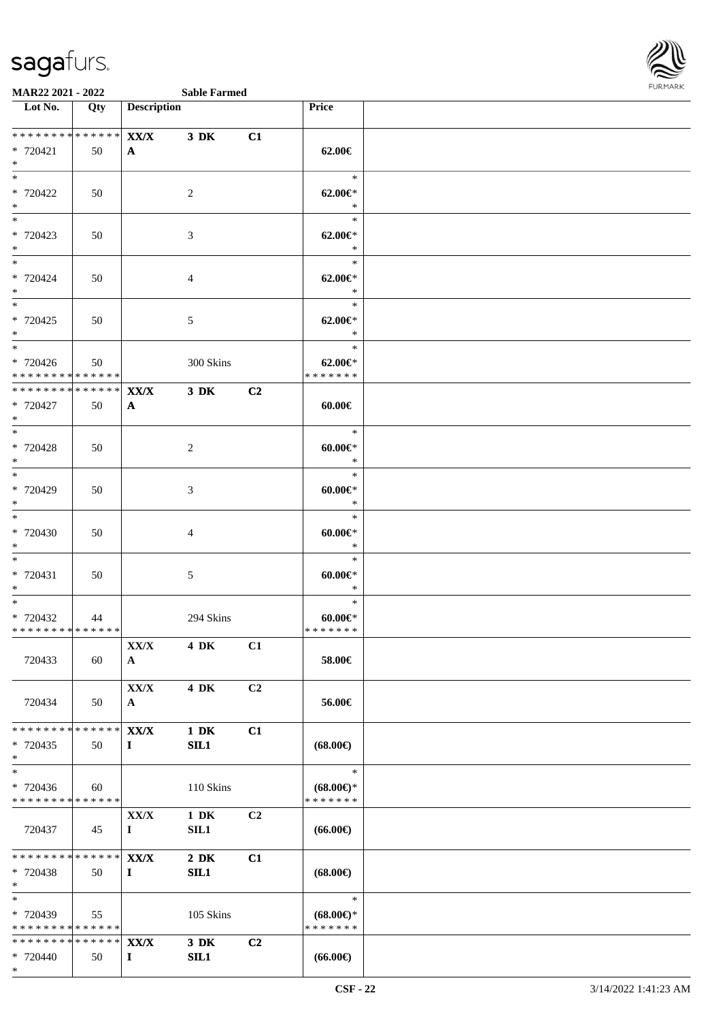

| Lot No.                                  | Qty | <b>Description</b>       |                  |                | Price                          |  |
|------------------------------------------|-----|--------------------------|------------------|----------------|--------------------------------|--|
| **************                           |     | XX/X                     | $3\,$ DK         | C1             |                                |  |
| * 720421                                 | 50  | $\mathbf{A}$             |                  |                | 62.00€                         |  |
| $*$<br>$*$                               |     |                          |                  |                | $*$                            |  |
| * 720422                                 | 50  |                          | $\overline{2}$   |                | $62.00 \in$ *                  |  |
| $*$<br>$*$                               |     |                          |                  |                | $\ast$<br>$\ast$               |  |
| * 720423                                 | 50  |                          | 3                |                | $62.00 \in$ *                  |  |
| $*$<br>$*$                               |     |                          |                  |                | $*$                            |  |
| * 720424                                 | 50  |                          | $\overline{4}$   |                | $\ast$<br>$62.00 \in$ *        |  |
| $*$                                      |     |                          |                  |                | $*$                            |  |
| $\overline{\phantom{0}}$<br>* 720425     |     |                          |                  |                | $\ast$                         |  |
| $*$                                      | 50  |                          | 5                |                | $62.00 \in$ *<br>$*$           |  |
| $*$                                      |     |                          |                  |                | $\ast$                         |  |
| * 720426<br>******** <mark>******</mark> | 50  |                          | 300 Skins        |                | $62.00 \in$ *<br>* * * * * * * |  |
| **************                           |     | $\mathbf{XX}/\mathbf{X}$ | $3$ DK           | C <sub>2</sub> |                                |  |
| * 720427<br>$*$                          | 50  | $\mathbf{A}$             |                  |                | $60.00 \in$                    |  |
| $\overline{\phantom{0}}$                 |     |                          |                  |                | $\ast$                         |  |
| * 720428                                 | 50  |                          | $\overline{2}$   |                | $60.00 \in$                    |  |
| $*$<br>$*$                               |     |                          |                  |                | $\ast$<br>$\ast$               |  |
| * 720429                                 | 50  |                          | $\mathfrak{Z}$   |                | $60.00 \text{eV}$              |  |
| $*$<br>$*$                               |     |                          |                  |                | $\ast$<br>$\ast$               |  |
| * 720430                                 | 50  |                          | $\overline{4}$   |                | $60.00 \in$                    |  |
| $*$<br>$*$                               |     |                          |                  |                | $\ast$                         |  |
| * 720431                                 | 50  |                          | $\mathfrak{S}$   |                | $\ast$<br>$60.00 \in$          |  |
| $*$                                      |     |                          |                  |                | $\ast$                         |  |
| $*$<br>* 720432                          | 44  |                          | 294 Skins        |                | $\ast$<br>$60.00 \in$          |  |
| ******** <mark>******</mark>             |     |                          |                  |                | * * * * * * *                  |  |
|                                          |     | XX/X                     | 4 DK C1          |                |                                |  |
| 720433                                   | 60  | $\mathbf{A}$             |                  |                | 58.00€                         |  |
|                                          |     | $\bf XX/X$               | 4 DK             | C2             |                                |  |
| 720434                                   | 50  | $\mathbf{A}$             |                  |                | 56.00€                         |  |
| * * * * * * * * * * * * * * *            |     | $\mathbf{XX}/\mathbf{X}$ | $1\ \mathrm{DK}$ | C1             |                                |  |
| $* 720435$<br>$*$                        | 50  | $\bf{I}$                 | SL1              |                | $(68.00\epsilon)$              |  |
| $\ast$                                   |     |                          |                  |                | $\ast$                         |  |
| * 720436                                 | 60  |                          | 110 Skins        |                | $(68.00\epsilon)$ *            |  |
| * * * * * * * * * * * * * *              |     | ${\bf XX/ X}$            | 1 DK             | C2             | * * * * * * *                  |  |
| 720437                                   | 45  | $\mathbf{I}$             | SIL1             |                | $(66.00\epsilon)$              |  |
| * * * * * * * * * * * * * * *            |     | $\mathbf{XX}/\mathbf{X}$ |                  | C1             |                                |  |
| * 720438                                 | 50  | $\bf{I}$                 | $2\,$ DK<br>SL1  |                | $(68.00\epsilon)$              |  |
| $*$                                      |     |                          |                  |                |                                |  |
| $*$<br>* 720439                          | 55  |                          | 105 Skins        |                | $\ast$<br>$(68.00\epsilon)$ *  |  |
| * * * * * * * * * * * * * * *            |     |                          |                  |                | * * * * * * *                  |  |
| ************** XX/X                      |     |                          | 3 DK<br>SL1      | C2             | $(66.00\epsilon)$              |  |
| * 720440<br>$*$                          | 50  | $\bf{I}$                 |                  |                |                                |  |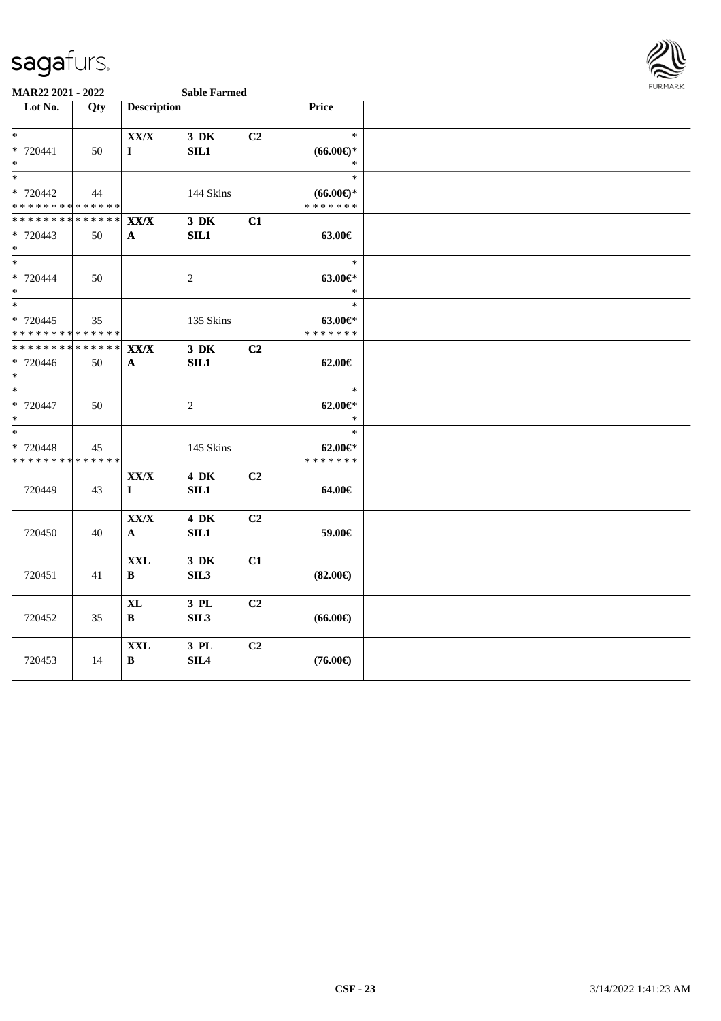

| Lot No.                                                      | Qty                 | <b>Description</b>                       |                          |    | Price                                          |  |
|--------------------------------------------------------------|---------------------|------------------------------------------|--------------------------|----|------------------------------------------------|--|
| $*$<br>* 720441<br>$\ast$                                    | 50                  | ${\bf XX/ X}$<br>$\bf{I}$                | 3 DK<br>SL1              | C2 | $\ast$<br>$(66.00ε)$ *<br>$\ast$               |  |
| $\overline{\phantom{0}}$<br>* 720442<br>**************       | 44                  |                                          | 144 Skins                |    | $\ast$<br>$(66.00\epsilon)$ *<br>* * * * * * * |  |
| * * * * * * * *<br>* 720443<br>$*$                           | * * * * * *  <br>50 | $\mathbf{XX}/\mathbf{X}$<br>$\mathbf{A}$ | $3$ DK<br>SL1            | C1 | 63.00€                                         |  |
| $\ast$<br>$* 720444$<br>$\ast$                               | 50                  |                                          | $\sqrt{2}$               |    | $\ast$<br>$63.00 \in$ *<br>$\ast$              |  |
| $\overline{\ast}$<br>* 720445<br>* * * * * * * * * * * * * * | 35                  |                                          | 135 Skins                |    | $\ast$<br>$63.00 \in$ *<br>* * * * * * *       |  |
| * * * * * * * * * * * * * *<br>* 720446<br>$*$               | 50                  | $\mathbf{XX}/\mathbf{X}$<br>A            | $3\,$ DK<br>SL1          | C2 | $62.00 \in$                                    |  |
| $\overline{\phantom{0}}$<br>* 720447<br>$*$                  | 50                  |                                          | $\overline{c}$           |    | $\ast$<br>$62.00 \in$ *<br>$\ast$              |  |
| $\ast$<br>* 720448<br>* * * * * * * * * * * * * *            | 45                  |                                          | 145 Skins                |    | $\ast$<br>$62.00 \in$<br>* * * * * * *         |  |
| 720449                                                       | 43                  | ${\bf XX/ X}$<br>$\mathbf{I}$            | <b>4 DK</b><br>SL1       | C2 | 64.00€                                         |  |
| 720450                                                       | 40                  | ${\bf XX/ X}$<br>$\mathbf{A}$            | <b>4 DK</b><br>SIL1      | C2 | 59.00€                                         |  |
| 720451                                                       | 41                  | <b>XXL</b><br>B                          | 3 DK<br>SIL <sub>3</sub> | C1 | $(82.00\epsilon)$                              |  |
| 720452                                                       | 35                  | $\mathbf{XL}$<br>$\bf{B}$                | 3 PL<br>SIL <sub>3</sub> | C2 | $(66.00\epsilon)$                              |  |
| 720453                                                       | 14                  | $\mathbf{XXL}$<br>B                      | 3 PL<br>SIL <sub>4</sub> | C2 | $(76.00\epsilon)$                              |  |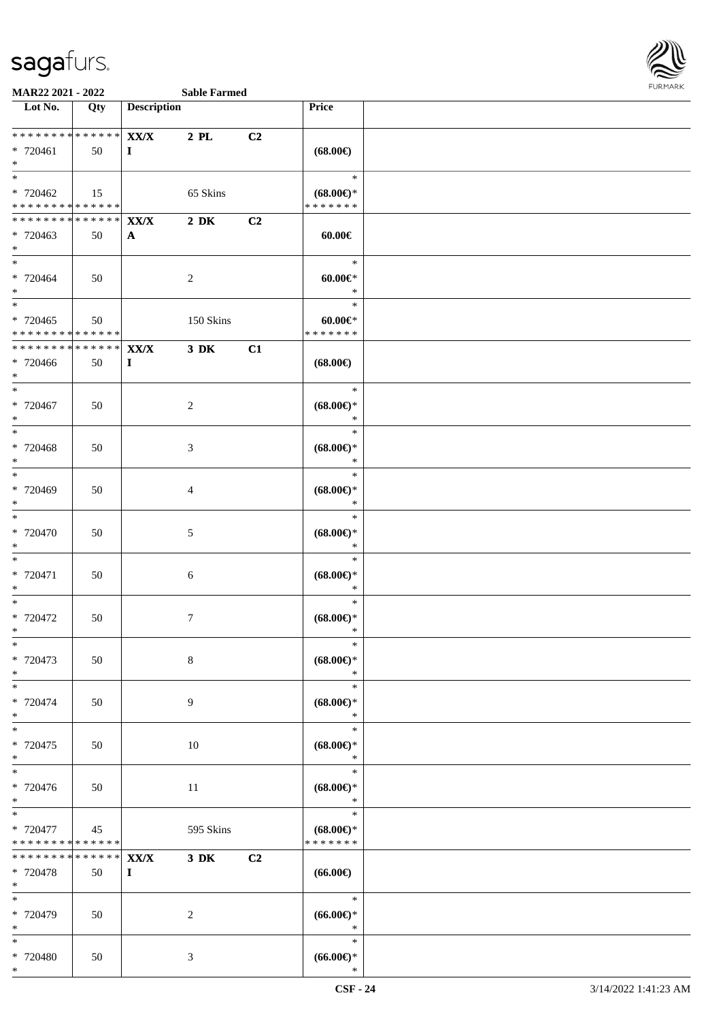

| Lot No.                                                              | Qty                                | <b>Description</b>   |                  |    | <b>Price</b>                                                   |  |
|----------------------------------------------------------------------|------------------------------------|----------------------|------------------|----|----------------------------------------------------------------|--|
| ******** <mark>******</mark><br>* 720461<br>$\ast$                   | 50                                 | XX/X<br>$\bf{I}$     | $2$ PL           | C2 | $(68.00\epsilon)$                                              |  |
| $\ast$<br>$* 720462$<br>* * * * * * * * * * * * * *                  | 15                                 |                      | 65 Skins         |    | $\ast$<br>$(68.00\epsilon)$ *<br>* * * * * * *                 |  |
| * * * * * * * * * * * * * * *<br>* 720463<br>$*$                     | 50                                 | XX/X<br>$\mathbf{A}$ | $2\ \mathrm{DK}$ | C2 | $60.00 \in$                                                    |  |
| * 720464<br>$*$                                                      | 50                                 |                      | $\overline{c}$   |    | $\ast$<br>$60.00 \in$<br>$\ast$                                |  |
| $\overline{\phantom{0}}$<br>* 720465<br>******** <mark>******</mark> | 50                                 |                      | 150 Skins        |    | $\ast$<br>$60.00 \in$<br>* * * * * * *                         |  |
| ******** <mark>******</mark><br>* 720466<br>$*$                      | 50                                 | XX/X<br>$\mathbf I$  | $3\,$ DK         | C1 | $(68.00\epsilon)$                                              |  |
| * 720467<br>$*$<br>$\overline{\ast}$                                 | 50                                 |                      | $\overline{c}$   |    | $\ast$<br>$(68.00\epsilon)$ *<br>$\ast$<br>$\ast$              |  |
| $* 720468$<br>$*$<br>$*$                                             | 50                                 |                      | $\mathfrak{Z}$   |    | $(68.00\epsilon)$ *<br>$\ast$<br>$\ast$                        |  |
| * 720469<br>$\ast$<br>$*$                                            | 50                                 |                      | 4                |    | $(68.00\epsilon)$ *<br>$\ast$<br>$\ast$                        |  |
| * 720470<br>$\ast$<br>$\ast$                                         | 50                                 |                      | $\mathfrak{S}$   |    | $(68.00\epsilon)$ *<br>$\ast$<br>$\ast$                        |  |
| $* 720471$<br>$*$<br>$*$                                             | 50                                 |                      | 6                |    | $(68.00\epsilon)$ *<br>$\ast$<br>$\ast$                        |  |
| $* 720472$<br>$*$<br>$*$                                             | 50                                 |                      | $\overline{7}$   |    | $(68.00\epsilon)$ *<br>$\ast$<br>$\ast$                        |  |
| * 720473<br>$\ast$<br>$\ast$                                         | 50                                 |                      | $\,8\,$          |    | $(68.00\epsilon)$ *<br>$\ast$<br>$\ast$                        |  |
| * 720474<br>$*$<br>$*$                                               | 50                                 |                      | 9                |    | $(68.00\epsilon)$ *<br>$\ast$<br>$\ast$                        |  |
| $*720475$<br>$*$<br>$*$                                              | 50                                 |                      | 10               |    | $(68.00\epsilon)$ *<br>$\ast$<br>$\ast$                        |  |
| * 720476<br>$*$<br>$\ast$<br>* 720477                                | 50<br>45                           |                      | 11<br>595 Skins  |    | $(68.00\epsilon)$ *<br>$\ast$<br>$\ast$<br>$(68.00\epsilon)$ * |  |
| * * * * * * * *<br>* * * * * * * *<br>* 720478                       | * * * * * *<br>* * * * * *  <br>50 | XX/X<br>$\bf{I}$     | $3\,$ DK         | C2 | * * * * * * *<br>$(66.00\epsilon)$                             |  |
| $*$<br>$*$<br>* 720479                                               | 50                                 |                      | $\overline{c}$   |    | $\ast$<br>$(66.00ε)$ *                                         |  |
| $*$<br>$\ast$<br>* 720480                                            | 50                                 |                      | 3                |    | $\ast$<br>$\ast$<br>$(66.00ε)$ *                               |  |
| $*$                                                                  |                                    |                      |                  |    | $\ast$                                                         |  |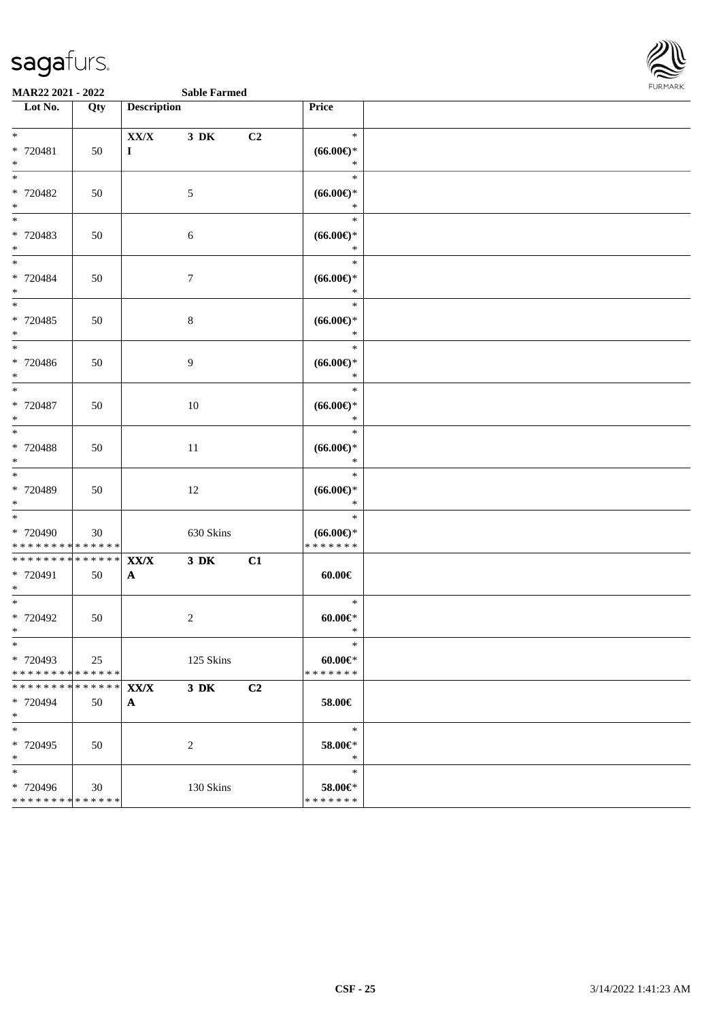

**MAR22 2021 - 2022 Sable Farmed**

| Lot No.                                                       | Qty               | <b>Description</b>                       |            |    | Price                                   |  |
|---------------------------------------------------------------|-------------------|------------------------------------------|------------|----|-----------------------------------------|--|
| $*$<br>* 720481<br>$*$                                        | 50                | XX/X<br>$\bf{I}$                         | $3\,$ DK   | C2 | $\ast$<br>$(66.00ε)$ *<br>$\ast$        |  |
| $*$<br>* 720482<br>$*$                                        | 50                |                                          | 5          |    | $\ast$<br>$(66.00ε)$ *<br>$\ast$        |  |
| $*$<br>* 720483<br>$*$                                        | 50                |                                          | 6          |    | $\ast$<br>$(66.00ε)$ *<br>$\ast$        |  |
| * 720484<br>$*$                                               | 50                |                                          | $\tau$     |    | $\ast$<br>$(66.00ε)$ *<br>$\ast$        |  |
| $\overline{\ast}$<br>$* 720485$<br>$*$                        | 50                |                                          | $\,8\,$    |    | $\ast$<br>$(66.00ε)$ *<br>$\ast$        |  |
| $*$<br>$* 720486$<br>$*$                                      | 50                |                                          | 9          |    | $\ast$<br>$(66.00ε)$ *<br>$\ast$        |  |
| $\ast$<br>* 720487<br>$*$                                     | 50                |                                          | 10         |    | $\ast$<br>$(66.00ε)$ *<br>$\ast$        |  |
| $\overline{\ast}$<br>* 720488<br>$*$                          | 50                |                                          | 11         |    | $\ast$<br>$(66.00ε)$ *<br>$\ast$        |  |
| $*$<br>* 720489<br>$*$                                        | 50                |                                          | 12         |    | $\ast$<br>$(66.00ε)$ *<br>$\ast$        |  |
| $*$<br>* 720490<br>* * * * * * * * * * * * * *                | 30                |                                          | 630 Skins  |    | $\ast$<br>$(66.00ε)$ *<br>* * * * * * * |  |
| * * * * * * * * <mark>* * * * * * *</mark><br>* 720491<br>$*$ | 50                | $\mathbf{XX}/\mathbf{X}$<br>$\mathbf{A}$ | $3$ DK     | C1 | $60.00 \in$                             |  |
| $*$<br>* 720492<br>$*$                                        | 50                |                                          | $\sqrt{2}$ |    | $\ast$<br>$60.00 \in$<br>$\ast$         |  |
| $*$<br>* 720493<br>* * * * * * * * * * * * * *                | 25                |                                          | 125 Skins  |    | $\ast$<br>$60.00 \in$<br>* * * * * * *  |  |
| * * * * * * * *<br>* 720494<br>$*$                            | * * * * * *<br>50 | $\mathbf{XX}/\mathbf{X}$<br>$\mathbf{A}$ | $3\,$ DK   | C2 | 58.00€                                  |  |
| $*$<br>* 720495<br>$*$                                        | 50                |                                          | 2          |    | $\ast$<br>58.00€*<br>$\ast$             |  |
| $*$<br>* 720496<br>* * * * * * * * * * * * * *                | $30\,$            |                                          | 130 Skins  |    | $\ast$<br>58.00€*<br>* * * * * * *      |  |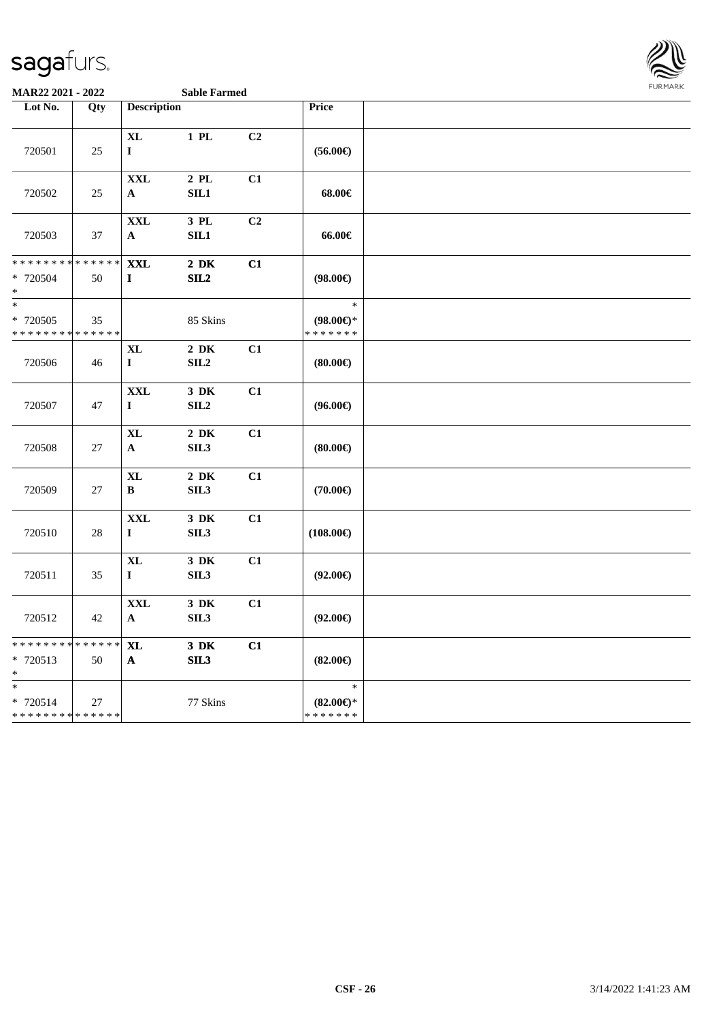

| Lot No.                                           | Qty               | <b>Description</b>                |                              |                | Price                                          |  |
|---------------------------------------------------|-------------------|-----------------------------------|------------------------------|----------------|------------------------------------------------|--|
| 720501                                            | 25                | $\bold{X}\bold{L}$<br>$\mathbf I$ | $1$ PL                       | C <sub>2</sub> | $(56.00\epsilon)$                              |  |
| 720502                                            | 25                | $\mathbf{XXL}$<br>$\mathbf A$     | $2$ PL<br>SL1                | C1             | 68.00€                                         |  |
| 720503                                            | 37                | $\mathbf{XXL}$<br>$\mathbf{A}$    | 3 PL<br>SL1                  | C2             | 66.00€                                         |  |
| * * * * * * * *<br>* 720504<br>$*$                | * * * * * *<br>50 | <b>XXL</b><br>$\mathbf I$         | $2\,$ DK<br>SL2              | C1             | $(98.00\epsilon)$                              |  |
| $\ast$<br>* 720505<br>* * * * * * * * * * * * * * | 35                |                                   | 85 Skins                     |                | $\ast$<br>$(98.00\epsilon)$ *<br>* * * * * * * |  |
| 720506                                            | 46                | <b>XL</b><br>$\mathbf{I}$         | $2\,$ DK<br>SIL <sub>2</sub> | C1             | (80.00)                                        |  |
| 720507                                            | 47                | <b>XXL</b><br>$\mathbf I$         | 3 DK<br>SIL <sub>2</sub>     | C1             | $(96.00\epsilon)$                              |  |
| 720508                                            | 27                | $\mathbf{XL}$<br>$\mathbf A$      | $2\;\mathrm{DK}$<br>SL3      | C1             | (80.00)                                        |  |
| 720509                                            | 27                | <b>XL</b><br>$\, {\bf B}$         | $2\,$ DK<br>SIL <sub>3</sub> | C1             | $(70.00\epsilon)$                              |  |
| 720510                                            | $28\,$            | <b>XXL</b><br>$\mathbf I$         | 3 DK<br>SIL <sub>3</sub>     | C1             | $(108.00\epsilon)$                             |  |
| 720511                                            | 35                | $\mathbf{XL}$<br>$\mathbf I$      | $3\,$ DK<br>SIL <sub>3</sub> | C1             | $(92.00\epsilon)$                              |  |
| 720512                                            | 42                | <b>XXL</b><br>$\mathbf{A}$        | $3\,$ DK<br>SIL <sub>3</sub> | C1             | $(92.00\epsilon)$                              |  |
| * * * * * * * *<br>* 720513<br>$\ast$             | * * * * * *<br>50 | <b>XL</b><br>$\mathbf{A}$         | $3$ DK<br>SL3                | C1             | $(82.00\epsilon)$                              |  |
| $\ast$<br>* 720514<br>* * * * * * * * * * * * * * | 27                |                                   | 77 Skins                     |                | $\ast$<br>$(82.00\epsilon)$ *<br>* * * * * * * |  |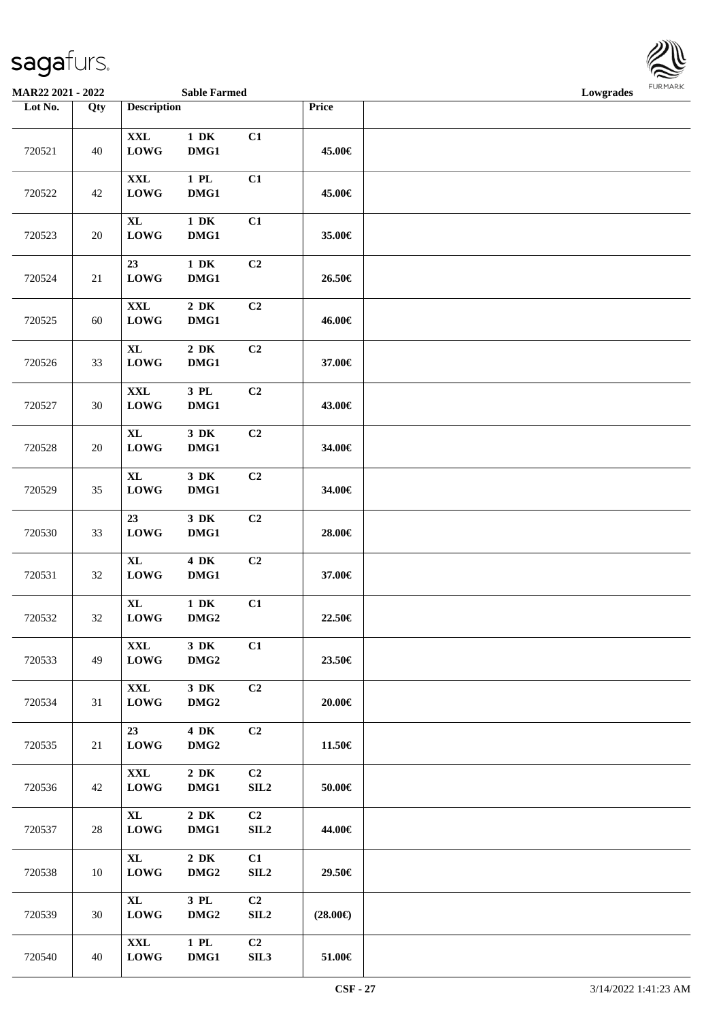

**MAR22 2021 - 2022 Sable Farmed Lowgrades**

| Lot No. | Qty    | <b>Description</b>                 |                              |                        | Price             |  |
|---------|--------|------------------------------------|------------------------------|------------------------|-------------------|--|
| 720521  | $40\,$ | $\mathbf{XXL}$<br>${\bf LOWG}$     | $1\,$ DK<br>DMG1             | C1                     | 45.00€            |  |
| 720522  | $42\,$ | $\mathbf{XXL}$<br><b>LOWG</b>      | $1$ PL<br>DMG1               | C1                     | 45.00€            |  |
| 720523  | $20\,$ | $\mathbf{XL}$<br><b>LOWG</b>       | $1\,$ DK<br>DMG1             | C1                     | 35.00€            |  |
| 720524  | $21\,$ | 23<br><b>LOWG</b>                  | $1\,$ DK<br>DMG1             | C2                     | 26.50€            |  |
| 720525  | $60\,$ | $\mathbf{XXL}$<br>${\bf LOWG}$     | $2\,$ DK<br>DMG1             | C2                     | 46.00€            |  |
| 720526  | 33     | $\mathbf{XL}$<br><b>LOWG</b>       | $2\,$ DK<br>DMG1             | C <sub>2</sub>         | 37.00€            |  |
| 720527  | $30\,$ | $\mathbf{XXL}$<br><b>LOWG</b>      | $3$ PL $\,$<br>DMG1          | C2                     | 43.00€            |  |
| 720528  | $20\,$ | $\mathbf{XL}$<br><b>LOWG</b>       | $3\,$ DK<br>DMG1             | C <sub>2</sub>         | 34.00€            |  |
| 720529  | 35     | $\mathbf{XL}$<br>LOWG              | $3\,$ DK<br>DMG1             | C <sub>2</sub>         | 34.00€            |  |
| 720530  | 33     | 23<br>${\bf LOWG}$                 | 3 DK<br>DMG1                 | C <sub>2</sub>         | 28.00€            |  |
| 720531  | $32\,$ | $\mathbf{XL}$<br><b>LOWG</b>       | 4 DK<br>DMG1                 | C <sub>2</sub>         | 37.00€            |  |
| 720532  | $32\,$ | $\mathbf{XL}$<br>${\bf LOWG}$      | $1\,$ DK<br>DMG <sub>2</sub> | C1                     | 22.50€            |  |
| 720533  | 49     | XXL<br>${\bf LOWG}$                | $3\,$ DK<br>DMG <sub>2</sub> | C1                     | 23.50€            |  |
| 720534  | 31     | $\mathbf{XXL}$<br><b>LOWG</b>      | 3 DK<br>DMG <sub>2</sub>     | C2                     | 20.00€            |  |
| 720535  | 21     | 23<br><b>LOWG</b>                  | 4 DK<br>DMG <sub>2</sub>     | C <sub>2</sub>         | 11.50€            |  |
| 720536  | 42     | $\mathbf{XXL}$<br>${\bf LOWG}$     | $2\,$ DK<br>DMG1             | C2<br>SLL2             | $50.00\in$        |  |
| 720537  | 28     | $\mathbf{XL}$<br>${\bf LOWG}$      | $2\;\mathrm{DK}$<br>DMG1     | C2<br>SLL2             | 44.00€            |  |
| 720538  | $10\,$ | $\bold{X}\bold{L}$<br><b>LOWG</b>  | $2\,$ DK<br>DMG2             | C1<br>SLL2             | 29.50€            |  |
| 720539  | 30     | $\bold{X}\bold{L}$<br>${\bf LOWG}$ | 3 PL<br>DMG2                 | C2<br>SIL <sub>2</sub> | $(28.00\epsilon)$ |  |
| 720540  | 40     | $\mathbf{XXL}$<br>${\bf LOWG}$     | $1$ PL<br>DMG1               | C2<br>SL13             | $51.00\in$        |  |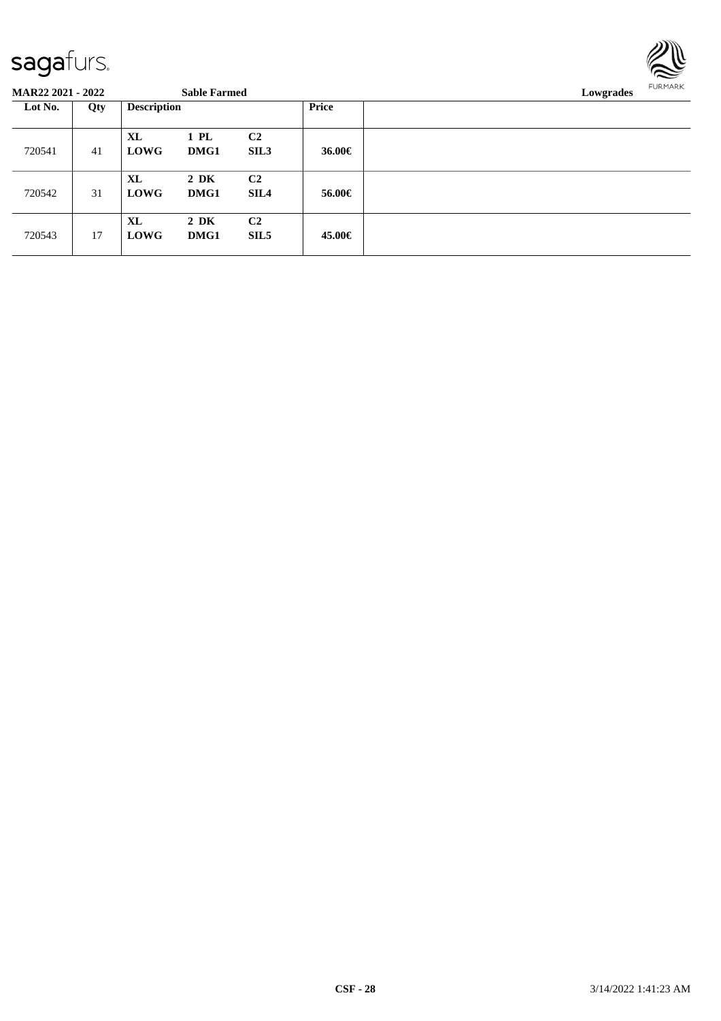

| <b>MAR22 2021 - 2022</b> |     |                          | <b>Sable Farmed</b> |                                    |        | Lowgrades |
|--------------------------|-----|--------------------------|---------------------|------------------------------------|--------|-----------|
| Lot No.                  | Qty | <b>Description</b>       |                     |                                    | Price  |           |
| 720541                   | 41  | <b>XL</b><br><b>LOWG</b> | 1 PL<br>DMG1        | C <sub>2</sub><br>SIL3             | 36.00€ |           |
| 720542                   | 31  | XL<br><b>LOWG</b>        | $2\,$ DK<br>DMG1    | C <sub>2</sub><br><b>SIL4</b>      | 56.00€ |           |
| 720543                   | 17  | <b>XL</b><br><b>LOWG</b> | $2\,$ DK<br>DMG1    | C <sub>2</sub><br>SIL <sub>5</sub> | 45.00€ |           |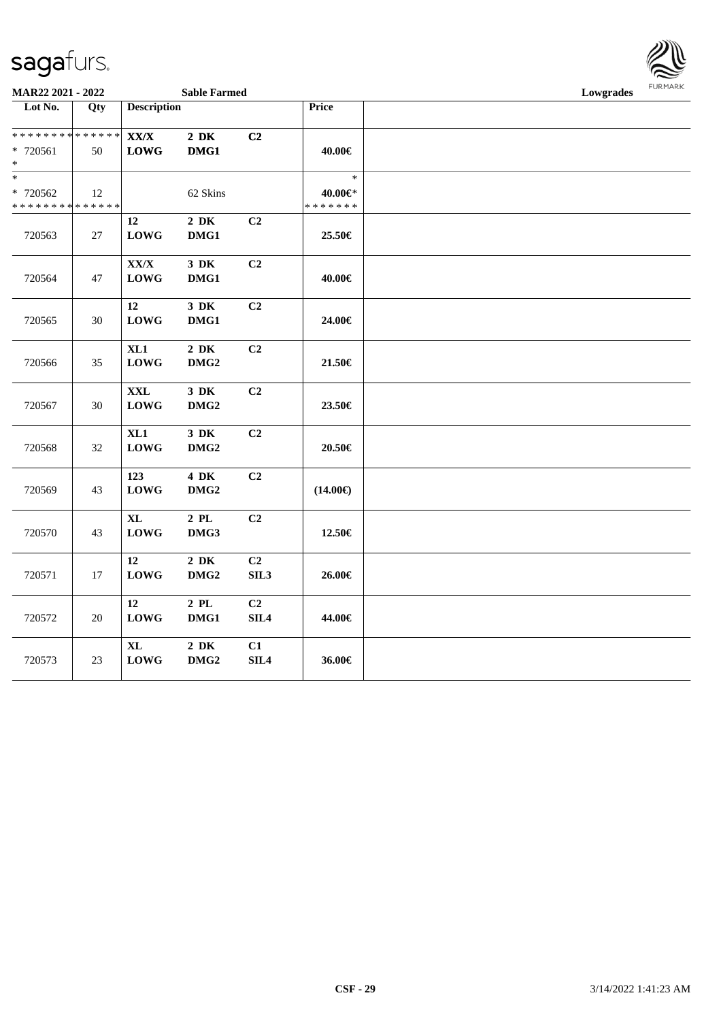

**MAR22 2021 - 2022 Sable Farmed Lowgrades**

| ********** #V#1                  |        |                          | $0400$ cm $0400$ |                  |                   | powstance |
|----------------------------------|--------|--------------------------|------------------|------------------|-------------------|-----------|
| $\overline{\phantom{1}}$ Lot No. | Qty    | <b>Description</b>       |                  |                  | Price             |           |
| * * * * * * * * * * * * * *      |        | $\mathbf{XX}/\mathbf{X}$ | $2\,$ DK         | C2               |                   |           |
| $* 720561$                       | 50     | ${\bf LOWG}$             | DMG1             |                  | 40.00€            |           |
| $\ast$                           |        |                          |                  |                  |                   |           |
| $\overline{\ast}$                |        |                          |                  |                  | $\ast$            |           |
|                                  |        |                          |                  |                  |                   |           |
| * 720562                         | 12     |                          | 62 Skins         |                  | 40.00€*           |           |
| * * * * * * * * * * * * * *      |        |                          |                  |                  | * * * * * * *     |           |
|                                  |        | $12\,$                   | $2\,$ DK         | C <sub>2</sub>   |                   |           |
| 720563                           | 27     | <b>LOWG</b>              | DMG1             |                  | 25.50€            |           |
|                                  |        |                          |                  |                  |                   |           |
|                                  |        | XX/X                     | $3\,$ DK         | C2               |                   |           |
| 720564                           | 47     | ${\bf LOWG}$             | DMG1             |                  | 40.00€            |           |
|                                  |        |                          |                  |                  |                   |           |
|                                  |        | 12                       | $3\,$ DK         | C <sub>2</sub>   |                   |           |
| 720565                           | 30     | <b>LOWG</b>              | DMG1             |                  | 24.00€            |           |
|                                  |        |                          |                  |                  |                   |           |
|                                  |        | XL1                      | $2\,$ DK         | C2               |                   |           |
| 720566                           | 35     | <b>LOWG</b>              | DMG <sub>2</sub> |                  | $21.50\in$        |           |
|                                  |        |                          |                  |                  |                   |           |
|                                  |        | $\mathbf{XXL}$           | $3\,$ DK         | C2               |                   |           |
| 720567                           | 30     | <b>LOWG</b>              | DMG <sub>2</sub> |                  | 23.50€            |           |
|                                  |        |                          |                  |                  |                   |           |
|                                  |        | XL1                      | $3\,$ DK         | C2               |                   |           |
| 720568                           | $32\,$ | <b>LOWG</b>              | DMG <sub>2</sub> |                  | $20.50\in$        |           |
|                                  |        |                          |                  |                  |                   |           |
|                                  |        | 123                      | 4 DK             | C2               |                   |           |
| 720569                           | 43     | <b>LOWG</b>              | DMG <sub>2</sub> |                  | $(14.00\epsilon)$ |           |
|                                  |        |                          |                  |                  |                   |           |
|                                  |        | $\mathbf{XL}$            | $2\,$ PL $\,$    | C2               |                   |           |
|                                  |        |                          |                  |                  |                   |           |
| 720570                           | 43     | LOWG                     | DMG3             |                  | 12.50€            |           |
|                                  |        |                          |                  |                  |                   |           |
|                                  |        | 12                       | $2\,$ DK         | C2               |                   |           |
| 720571                           | 17     | ${\bf LOWG}$             | DMG <sub>2</sub> | SIL3             | 26.00€            |           |
|                                  |        |                          |                  |                  |                   |           |
|                                  |        | 12                       | $2\,$ PL         | C <sub>2</sub>   |                   |           |
| 720572                           | $20\,$ | <b>LOWG</b>              | DMG1             | SIL <sub>4</sub> | 44.00€            |           |
|                                  |        |                          |                  |                  |                   |           |
|                                  |        | $\mathbf{XL}$            | $2\,$ DK         | C1               |                   |           |
| 720573                           | 23     | <b>LOWG</b>              | DMG <sub>2</sub> | SL4              | 36.00€            |           |
|                                  |        |                          |                  |                  |                   |           |